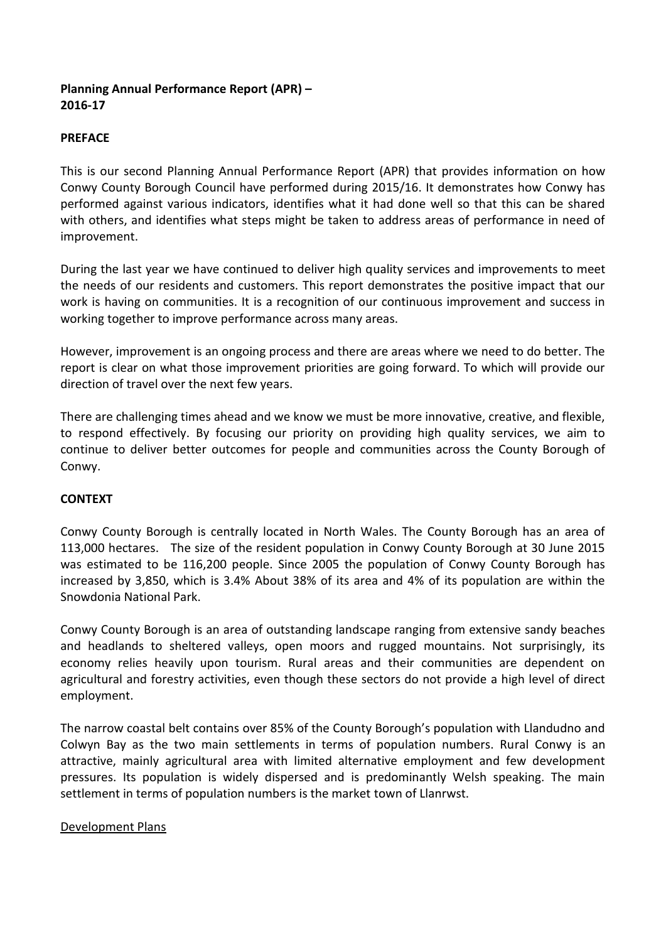## **Planning Annual Performance Report (APR) – 2016-17**

## **PREFACE**

This is our second Planning Annual Performance Report (APR) that provides information on how Conwy County Borough Council have performed during 2015/16. It demonstrates how Conwy has performed against various indicators, identifies what it had done well so that this can be shared with others, and identifies what steps might be taken to address areas of performance in need of improvement.

During the last year we have continued to deliver high quality services and improvements to meet the needs of our residents and customers. This report demonstrates the positive impact that our work is having on communities. It is a recognition of our continuous improvement and success in working together to improve performance across many areas.

However, improvement is an ongoing process and there are areas where we need to do better. The report is clear on what those improvement priorities are going forward. To which will provide our direction of travel over the next few years.

There are challenging times ahead and we know we must be more innovative, creative, and flexible, to respond effectively. By focusing our priority on providing high quality services, we aim to continue to deliver better outcomes for people and communities across the County Borough of Conwy.

## **CONTEXT**

Conwy County Borough is centrally located in North Wales. The County Borough has an area of 113,000 hectares. The size of the resident population in Conwy County Borough at 30 June 2015 was estimated to be 116,200 people. Since 2005 the population of Conwy County Borough has increased by 3,850, which is 3.4% About 38% of its area and 4% of its population are within the Snowdonia National Park.

Conwy County Borough is an area of outstanding landscape ranging from extensive sandy beaches and headlands to sheltered valleys, open moors and rugged mountains. Not surprisingly, its economy relies heavily upon tourism. Rural areas and their communities are dependent on agricultural and forestry activities, even though these sectors do not provide a high level of direct employment.

The narrow coastal belt contains over 85% of the County Borough's population with Llandudno and Colwyn Bay as the two main settlements in terms of population numbers. Rural Conwy is an attractive, mainly agricultural area with limited alternative employment and few development pressures. Its population is widely dispersed and is predominantly Welsh speaking. The main settlement in terms of population numbers is the market town of Llanrwst.

#### Development Plans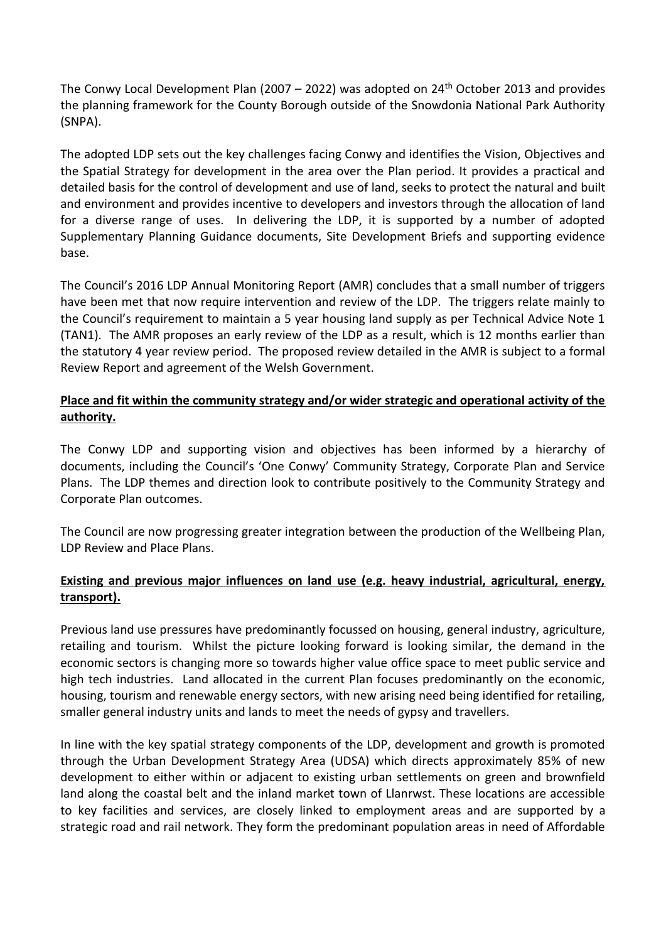The Conwy Local Development Plan (2007 – 2022) was adopted on  $24<sup>th</sup>$  October 2013 and provides the planning framework for the County Borough outside of the Snowdonia National Park Authority (SNPA).

The adopted LDP sets out the key challenges facing Conwy and identifies the Vision, Objectives and the Spatial Strategy for development in the area over the Plan period. It provides a practical and detailed basis for the control of development and use of land, seeks to protect the natural and built and environment and provides incentive to developers and investors through the allocation of land for a diverse range of uses. In delivering the LDP, it is supported by a number of adopted Supplementary Planning Guidance documents, Site Development Briefs and supporting evidence base.

The Council's 2016 LDP Annual Monitoring Report (AMR) concludes that a small number of triggers have been met that now require intervention and review of the LDP. The triggers relate mainly to the Council's requirement to maintain a 5 year housing land supply as per Technical Advice Note 1 (TAN1). The AMR proposes an early review of the LDP as a result, which is 12 months earlier than the statutory 4 year review period. The proposed review detailed in the AMR is subject to a formal Review Report and agreement of the Welsh Government.

## **Place and fit within the community strategy and/or wider strategic and operational activity of the authority.**

The Conwy LDP and supporting vision and objectives has been informed by a hierarchy of documents, including the Council's 'One Conwy' Community Strategy, Corporate Plan and Service Plans. The LDP themes and direction look to contribute positively to the Community Strategy and Corporate Plan outcomes.

The Council are now progressing greater integration between the production of the Wellbeing Plan, LDP Review and Place Plans.

## **Existing and previous major influences on land use (e.g. heavy industrial, agricultural, energy, transport).**

Previous land use pressures have predominantly focussed on housing, general industry, agriculture, retailing and tourism. Whilst the picture looking forward is looking similar, the demand in the economic sectors is changing more so towards higher value office space to meet public service and high tech industries. Land allocated in the current Plan focuses predominantly on the economic, housing, tourism and renewable energy sectors, with new arising need being identified for retailing, smaller general industry units and lands to meet the needs of gypsy and travellers.

In line with the key spatial strategy components of the LDP, development and growth is promoted through the Urban Development Strategy Area (UDSA) which directs approximately 85% of new development to either within or adjacent to existing urban settlements on green and brownfield land along the coastal belt and the inland market town of Llanrwst. These locations are accessible to key facilities and services, are closely linked to employment areas and are supported by a strategic road and rail network. They form the predominant population areas in need of Affordable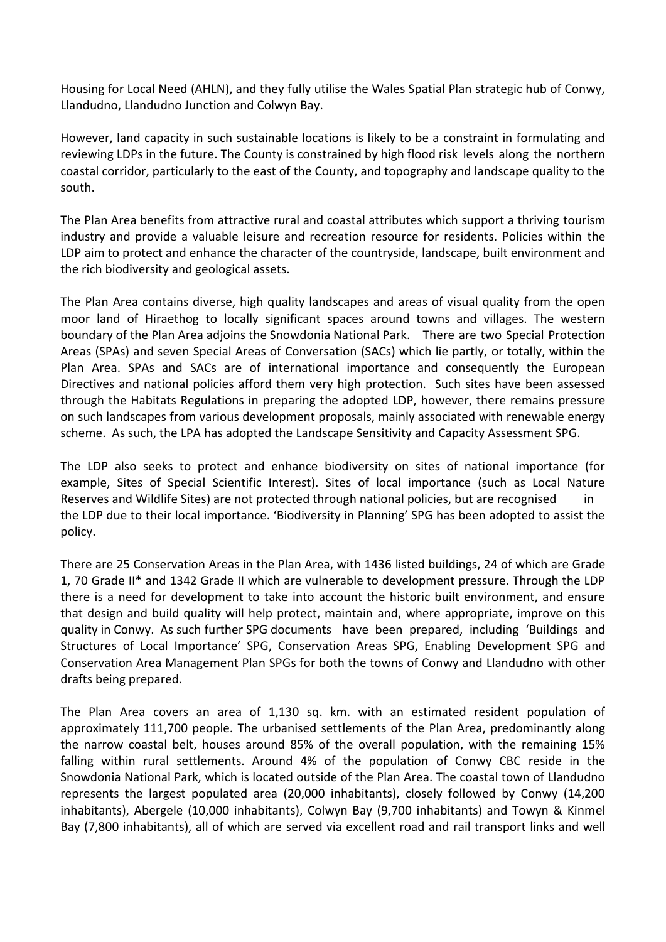Housing for Local Need (AHLN), and they fully utilise the Wales Spatial Plan strategic hub of Conwy, Llandudno, Llandudno Junction and Colwyn Bay.

However, land capacity in such sustainable locations is likely to be a constraint in formulating and reviewing LDPs in the future. The County is constrained by high flood risk levels along the northern coastal corridor, particularly to the east of the County, and topography and landscape quality to the south.

The Plan Area benefits from attractive rural and coastal attributes which support a thriving tourism industry and provide a valuable leisure and recreation resource for residents. Policies within the LDP aim to protect and enhance the character of the countryside, landscape, built environment and the rich biodiversity and geological assets.

The Plan Area contains diverse, high quality landscapes and areas of visual quality from the open moor land of Hiraethog to locally significant spaces around towns and villages. The western boundary of the Plan Area adjoins the Snowdonia National Park. There are two Special Protection Areas (SPAs) and seven Special Areas of Conversation (SACs) which lie partly, or totally, within the Plan Area. SPAs and SACs are of international importance and consequently the European Directives and national policies afford them very high protection. Such sites have been assessed through the Habitats Regulations in preparing the adopted LDP, however, there remains pressure on such landscapes from various development proposals, mainly associated with renewable energy scheme. As such, the LPA has adopted the [Landscape Sensitivity and Capacity Assessment](http://www.conwy.gov.uk/section.asp?cat=11692&Language=1) SPG.

The LDP also seeks to protect and enhance biodiversity on sites of national importance (for example, Sites of Special Scientific Interest). Sites of local importance (such as Local Nature Reserves and Wildlife Sites) are not protected through national policies, but are recognised the LDP due to their local importance. 'Biodiversity in Planning' SPG has been adopted to assist the policy.

There are 25 Conservation Areas in the Plan Area, with 1436 listed buildings, 24 of which are Grade 1, 70 Grade II\* and 1342 Grade II which are vulnerable to development pressure. Through the LDP there is a need for development to take into account the historic built environment, and ensure that design and build quality will help protect, maintain and, where appropriate, improve on this quality in Conwy. As such further SPG documents have been prepared, including 'Buildings and Structures of Local Importance' SPG, Conservation Areas SPG, Enabling Development SPG and Conservation Area Management Plan SPGs for both the towns of Conwy and Llandudno with other drafts being prepared.

The Plan Area covers an area of 1,130 sq. km. with an estimated resident population of approximately 111,700 people. The urbanised settlements of the Plan Area, predominantly along the narrow coastal belt, houses around 85% of the overall population, with the remaining 15% falling within rural settlements. Around 4% of the population of Conwy CBC reside in the Snowdonia National Park, which is located outside of the Plan Area. The coastal town of Llandudno represents the largest populated area (20,000 inhabitants), closely followed by Conwy (14,200 inhabitants), Abergele (10,000 inhabitants), Colwyn Bay (9,700 inhabitants) and Towyn & Kinmel Bay (7,800 inhabitants), all of which are served via excellent road and rail transport links and well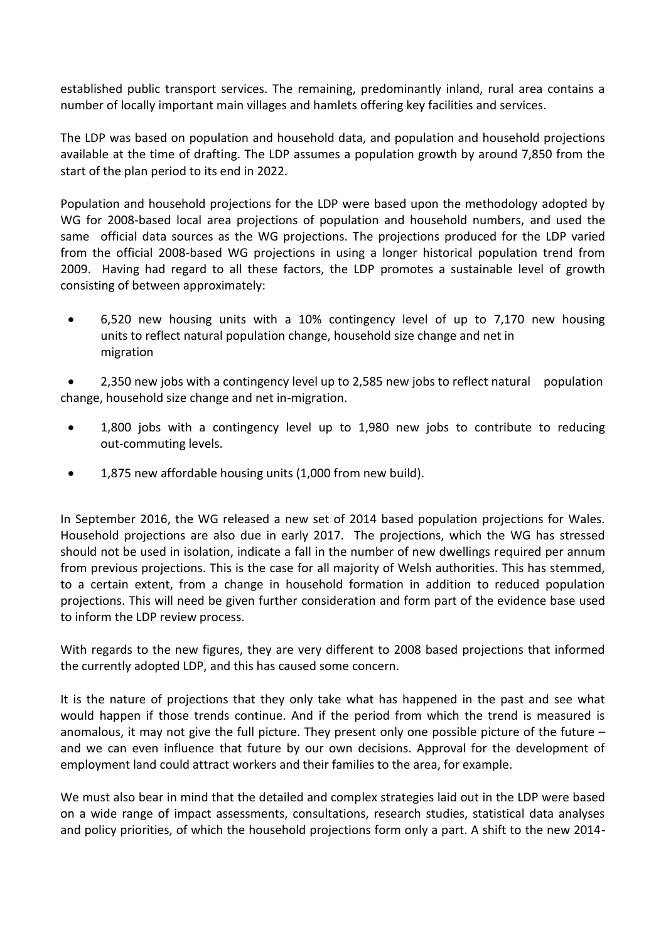established public transport services. The remaining, predominantly inland, rural area contains a number of locally important main villages and hamlets offering key facilities and services.

The LDP was based on population and household data, and population and household projections available at the time of drafting. The LDP assumes a population growth by around 7,850 from the start of the plan period to its end in 2022.

Population and household projections for the LDP were based upon the methodology adopted by WG for 2008-based local area projections of population and household numbers, and used the same official data sources as the WG projections. The projections produced for the LDP varied from the official 2008-based WG projections in using a longer historical population trend from 2009. Having had regard to all these factors, the LDP promotes a sustainable level of growth consisting of between approximately:

 6,520 new housing units with a 10% contingency level of up to 7,170 new housing units to reflect natural population change, household size change and net in migration

 2,350 new jobs with a contingency level up to 2,585 new jobs to reflect natural population change, household size change and net in-migration.

- 1,800 jobs with a contingency level up to 1,980 new jobs to contribute to reducing out-commuting levels.
- 1,875 new affordable housing units (1,000 from new build).

In September 2016, the WG released a new set of 2014 based population projections for Wales. Household projections are also due in early 2017. The projections, which the WG has stressed should not be used in isolation, indicate a fall in the number of new dwellings required per annum from previous projections. This is the case for all majority of Welsh authorities. This has stemmed, to a certain extent, from a change in household formation in addition to reduced population projections. This will need be given further consideration and form part of the evidence base used to inform the LDP review process.

With regards to the new figures, they are very different to 2008 based projections that informed the currently adopted LDP, and this has caused some concern.

It is the nature of projections that they only take what has happened in the past and see what would happen if those trends continue. And if the period from which the trend is measured is anomalous, it may not give the full picture. They present only one possible picture of the future and we can even influence that future by our own decisions. Approval for the development of employment land could attract workers and their families to the area, for example.

We must also bear in mind that the detailed and complex strategies laid out in the LDP were based on a wide range of impact assessments, consultations, research studies, statistical data analyses and policy priorities, of which the household projections form only a part. A shift to the new 2014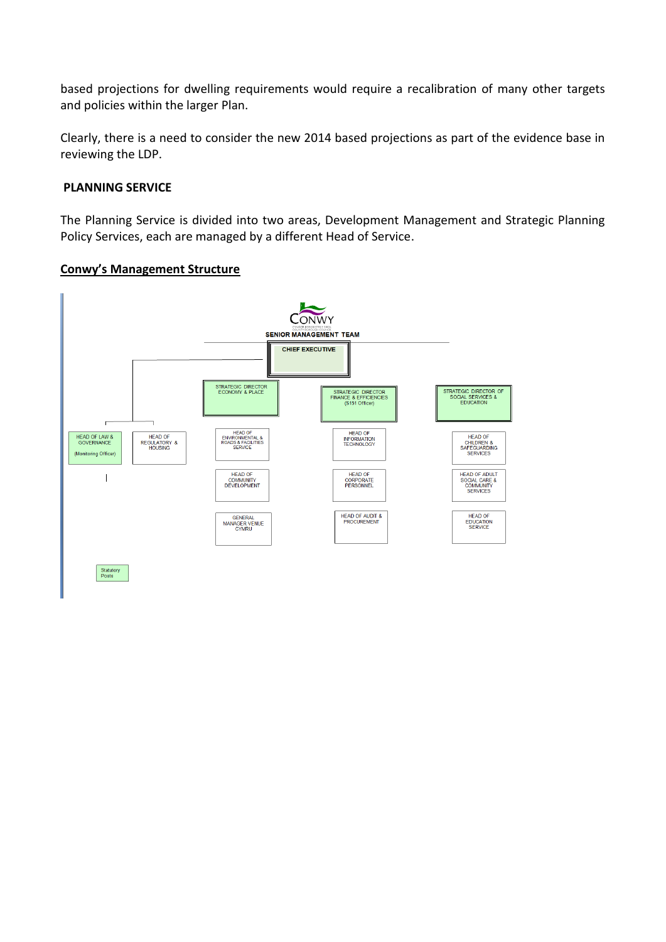based projections for dwelling requirements would require a recalibration of many other targets and policies within the larger Plan.

Clearly, there is a need to consider the new 2014 based projections as part of the evidence base in reviewing the LDP.

#### **PLANNING SERVICE**

The Planning Service is divided into two areas, Development Management and Strategic Planning Policy Services, each are managed by a different Head of Service.

### **Conwy's Management Structure**

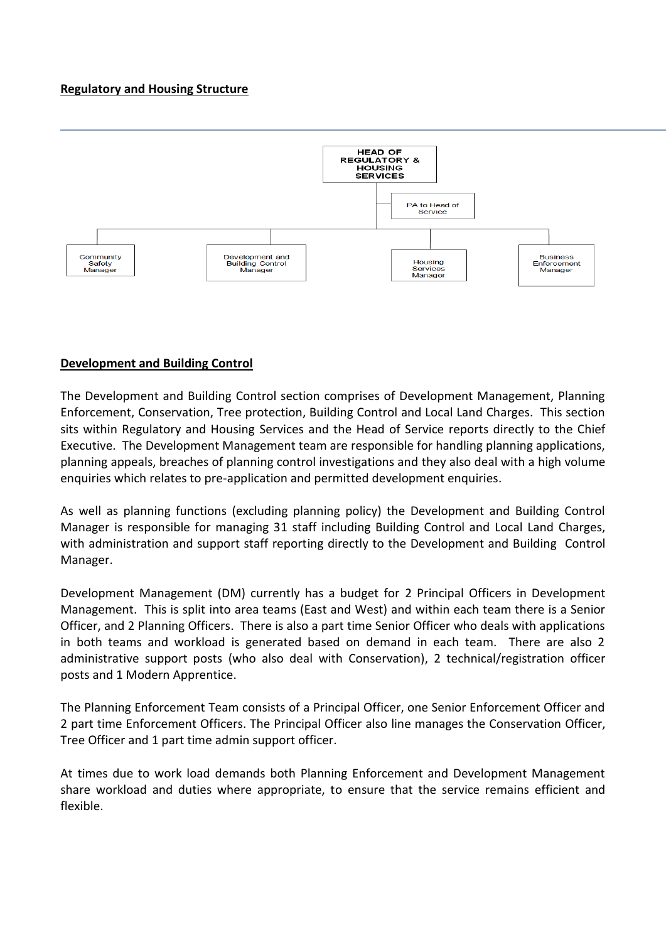## **Regulatory and Housing Structure**



### **Development and Building Control**

The Development and Building Control section comprises of Development Management, Planning Enforcement, Conservation, Tree protection, Building Control and Local Land Charges. This section sits within Regulatory and Housing Services and the Head of Service reports directly to the Chief Executive. The Development Management team are responsible for handling planning applications, planning appeals, breaches of planning control investigations and they also deal with a high volume enquiries which relates to pre-application and permitted development enquiries.

As well as planning functions (excluding planning policy) the Development and Building Control Manager is responsible for managing 31 staff including Building Control and Local Land Charges, with administration and support staff reporting directly to the Development and Building Control Manager.

Development Management (DM) currently has a budget for 2 Principal Officers in Development Management. This is split into area teams (East and West) and within each team there is a Senior Officer, and 2 Planning Officers. There is also a part time Senior Officer who deals with applications in both teams and workload is generated based on demand in each team. There are also 2 administrative support posts (who also deal with Conservation), 2 technical/registration officer posts and 1 Modern Apprentice.

The Planning Enforcement Team consists of a Principal Officer, one Senior Enforcement Officer and 2 part time Enforcement Officers. The Principal Officer also line manages the Conservation Officer, Tree Officer and 1 part time admin support officer.

At times due to work load demands both Planning Enforcement and Development Management share workload and duties where appropriate, to ensure that the service remains efficient and flexible.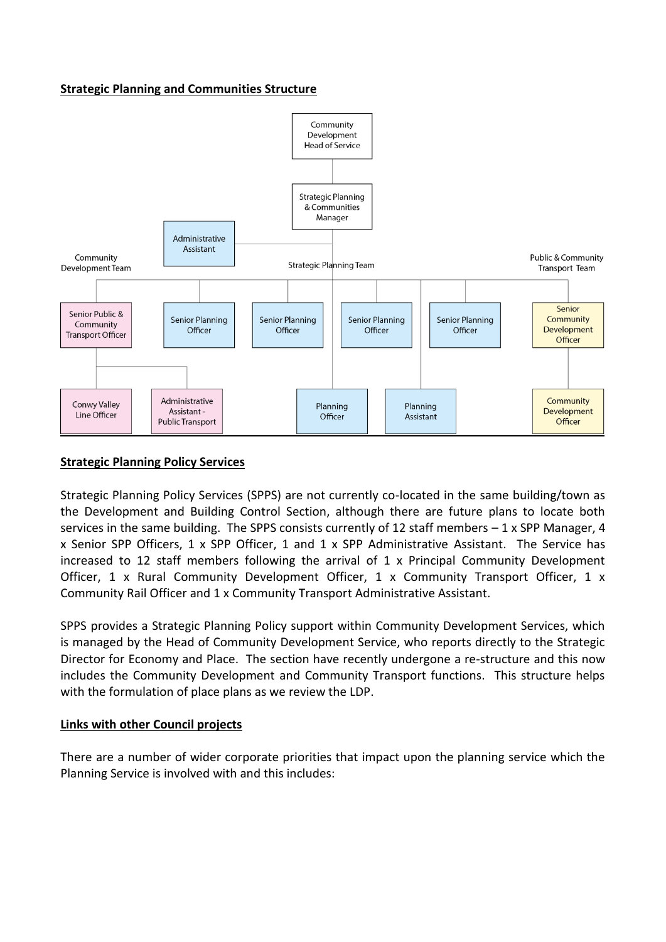#### **Strategic Planning and Communities Structure**



### **Strategic Planning Policy Services**

Strategic Planning Policy Services (SPPS) are not currently co-located in the same building/town as the Development and Building Control Section, although there are future plans to locate both services in the same building. The SPPS consists currently of 12 staff members  $-1 \times$  SPP Manager, 4 x Senior SPP Officers, 1 x SPP Officer, 1 and 1 x SPP Administrative Assistant. The Service has increased to 12 staff members following the arrival of 1 x Principal Community Development Officer, 1 x Rural Community Development Officer, 1 x Community Transport Officer, 1 x Community Rail Officer and 1 x Community Transport Administrative Assistant.

SPPS provides a Strategic Planning Policy support within Community Development Services, which is managed by the Head of Community Development Service, who reports directly to the Strategic Director for Economy and Place. The section have recently undergone a re-structure and this now includes the Community Development and Community Transport functions. This structure helps with the formulation of place plans as we review the LDP.

#### **Links with other Council projects**

There are a number of wider corporate priorities that impact upon the planning service which the Planning Service is involved with and this includes: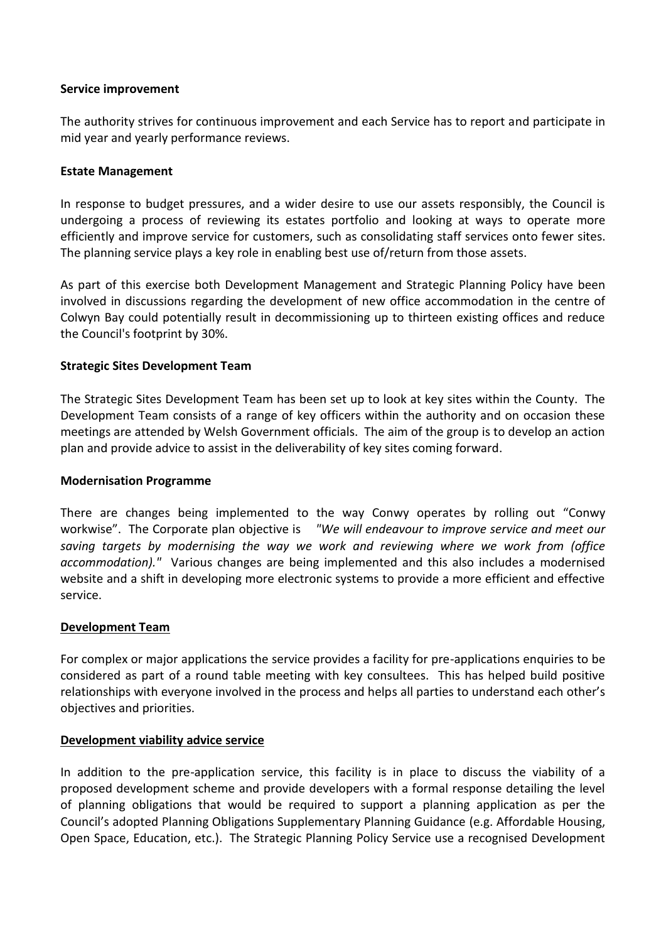#### **Service improvement**

The authority strives for continuous improvement and each Service has to report and participate in mid year and yearly performance reviews.

#### **Estate Management**

In response to budget pressures, and a wider desire to use our assets responsibly, the Council is undergoing a process of reviewing its estates portfolio and looking at ways to operate more efficiently and improve service for customers, such as consolidating staff services onto fewer sites. The planning service plays a key role in enabling best use of/return from those assets.

As part of this exercise both Development Management and Strategic Planning Policy have been involved in discussions regarding the development of new office accommodation in the centre of Colwyn Bay could potentially result in decommissioning up to thirteen existing offices and reduce the Council's footprint by 30%.

### **Strategic Sites Development Team**

The Strategic Sites Development Team has been set up to look at key sites within the County. The Development Team consists of a range of key officers within the authority and on occasion these meetings are attended by Welsh Government officials. The aim of the group is to develop an action plan and provide advice to assist in the deliverability of key sites coming forward.

#### **Modernisation Programme**

There are changes being implemented to the way Conwy operates by rolling out "Conwy workwise". The Corporate plan objective is *"We will endeavour to improve service and meet our saving targets by modernising the way we work and reviewing where we work from (office accommodation)."* Various changes are being implemented and this also includes a modernised website and a shift in developing more electronic systems to provide a more efficient and effective service.

#### **Development Team**

For complex or major applications the service provides a facility for pre-applications enquiries to be considered as part of a round table meeting with key consultees. This has helped build positive relationships with everyone involved in the process and helps all parties to understand each other's objectives and priorities.

#### **Development viability advice service**

In addition to the pre-application service, this facility is in place to discuss the viability of a proposed development scheme and provide developers with a formal response detailing the level of planning obligations that would be required to support a planning application as per the Council's adopted [Planning Obligations Supplementary Planning Guidance](http://www.conwy.gov.uk/section.asp?catid=11353) (e.g. Affordable Housing, Open Space, Education, etc.). The Strategic Planning Policy Service use a recognised Development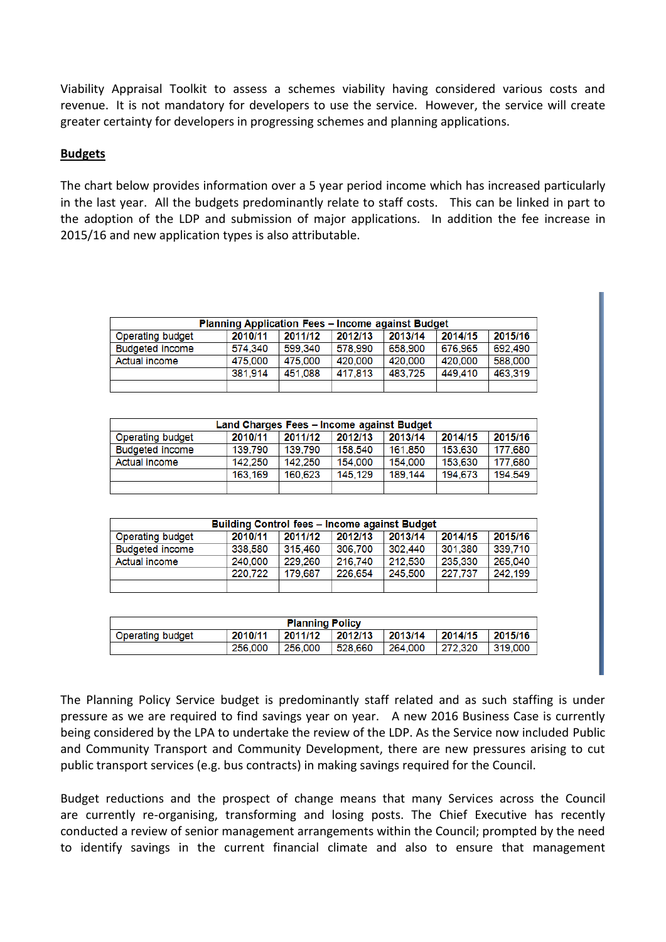Viability Appraisal Toolkit to assess a schemes viability having considered various costs and revenue. It is not mandatory for developers to use the service. However, the service will create greater certainty for developers in progressing schemes and planning applications.

## **Budgets**

The chart below provides information over a 5 year period income which has increased particularly in the last year. All the budgets predominantly relate to staff costs. This can be linked in part to the adoption of the LDP and submission of major applications. In addition the fee increase in 2015/16 and new application types is also attributable.

| <b>Planning Application Fees - Income against Budget</b> |         |         |         |         |         |         |  |
|----------------------------------------------------------|---------|---------|---------|---------|---------|---------|--|
| <b>Operating budget</b>                                  | 2010/11 | 2011/12 | 2012/13 | 2013/14 | 2014/15 | 2015/16 |  |
| <b>Budgeted income</b>                                   | 574.340 | 599.340 | 578.990 | 658,900 | 676.965 | 692.490 |  |
| Actual income                                            | 475,000 | 475,000 | 420,000 | 420,000 | 420,000 | 588,000 |  |
|                                                          | 381.914 | 451.088 | 417.813 | 483.725 | 449,410 | 463,319 |  |
|                                                          |         |         |         |         |         |         |  |

| Land Charges Fees - Income against Budget |         |         |         |         |         |         |  |
|-------------------------------------------|---------|---------|---------|---------|---------|---------|--|
| Operating budget                          | 2010/11 | 2011/12 | 2012/13 | 2013/14 | 2014/15 | 2015/16 |  |
| <b>Budgeted income</b>                    | 139.790 | 139.790 | 158.540 | 161.850 | 153.630 | 177.680 |  |
| Actual income                             | 142.250 | 142.250 | 154.000 | 154.000 | 153.630 | 177.680 |  |
|                                           | 163.169 | 160.623 | 145.129 | 189.144 | 194.673 | 194.549 |  |
|                                           |         |         |         |         |         |         |  |

| <b>Building Control fees - Income against Budget</b> |         |         |         |         |         |         |  |
|------------------------------------------------------|---------|---------|---------|---------|---------|---------|--|
| <b>Operating budget</b>                              | 2010/11 | 2011/12 | 2012/13 | 2013/14 | 2014/15 | 2015/16 |  |
| <b>Budgeted income</b>                               | 338,580 | 315.460 | 306,700 | 302.440 | 301.380 | 339,710 |  |
| Actual income                                        | 240,000 | 229,260 | 216,740 | 212,530 | 235,330 | 265,040 |  |
|                                                      | 220.722 | 179.687 | 226.654 | 245,500 | 227.737 | 242.199 |  |
|                                                      |         |         |         |         |         |         |  |

| <b>Planning Policy</b> |         |         |         |         |         |         |  |
|------------------------|---------|---------|---------|---------|---------|---------|--|
| Operating budget       | 2010/11 | 2011/12 | 2012/13 | 2013/14 | 2014/15 | 2015/16 |  |
|                        | 256,000 | 256,000 | 528.660 | 264,000 | 272.320 | 319,000 |  |

The Planning Policy Service budget is predominantly staff related and as such staffing is under pressure as we are required to find savings year on year. A new 2016 Business Case is currently being considered by the LPA to undertake the review of the LDP. As the Service now included Public and Community Transport and Community Development, there are new pressures arising to cut public transport services (e.g. bus contracts) in making savings required for the Council.

Budget reductions and the prospect of change means that many Services across the Council are currently re-organising, transforming and losing posts. The Chief Executive has recently conducted a review of senior management arrangements within the Council; prompted by the need to identify savings in the current financial climate and also to ensure that management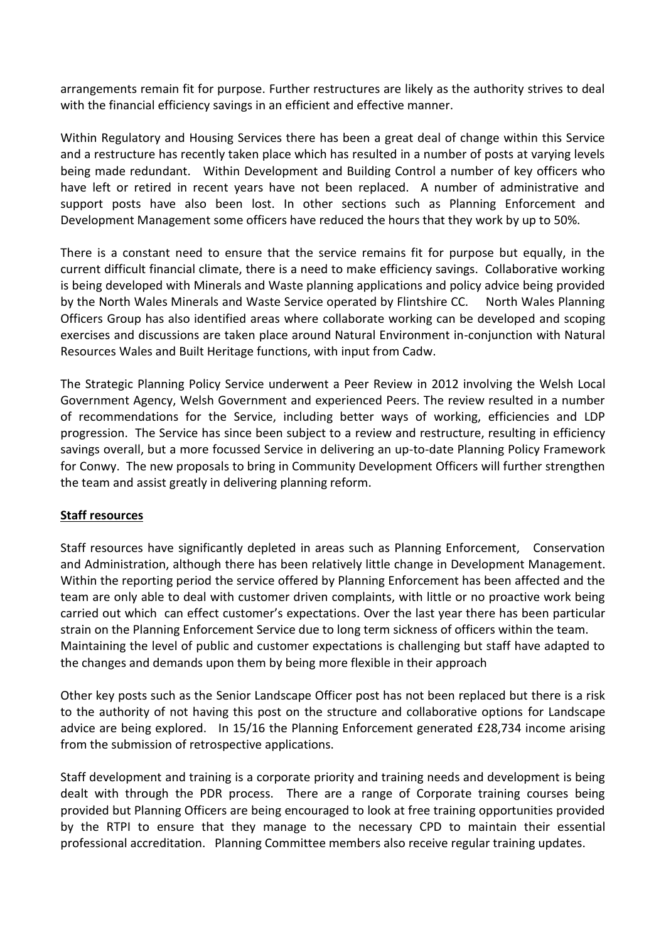arrangements remain fit for purpose. Further restructures are likely as the authority strives to deal with the financial efficiency savings in an efficient and effective manner.

Within Regulatory and Housing Services there has been a great deal of change within this Service and a restructure has recently taken place which has resulted in a number of posts at varying levels being made redundant. Within Development and Building Control a number of key officers who have left or retired in recent years have not been replaced. A number of administrative and support posts have also been lost. In other sections such as Planning Enforcement and Development Management some officers have reduced the hours that they work by up to 50%.

There is a constant need to ensure that the service remains fit for purpose but equally, in the current difficult financial climate, there is a need to make efficiency savings. Collaborative working is being developed with Minerals and Waste planning applications and policy advice being provided by the North Wales Minerals and Waste Service operated by Flintshire CC. North Wales Planning Officers Group has also identified areas where collaborate working can be developed and scoping exercises and discussions are taken place around Natural Environment in-conjunction with Natural Resources Wales and Built Heritage functions, with input from Cadw.

The Strategic Planning Policy Service underwent a Peer Review in 2012 involving the Welsh Local Government Agency, Welsh Government and experienced Peers. The review resulted in a number of recommendations for the Service, including better ways of working, efficiencies and LDP progression. The Service has since been subject to a review and restructure, resulting in efficiency savings overall, but a more focussed Service in delivering an up-to-date Planning Policy Framework for Conwy. The new proposals to bring in Community Development Officers will further strengthen the team and assist greatly in delivering planning reform.

## **Staff resources**

Staff resources have significantly depleted in areas such as Planning Enforcement, Conservation and Administration, although there has been relatively little change in Development Management. Within the reporting period the service offered by Planning Enforcement has been affected and the team are only able to deal with customer driven complaints, with little or no proactive work being carried out which can effect customer's expectations. Over the last year there has been particular strain on the Planning Enforcement Service due to long term sickness of officers within the team. Maintaining the level of public and customer expectations is challenging but staff have adapted to the changes and demands upon them by being more flexible in their approach

Other key posts such as the Senior Landscape Officer post has not been replaced but there is a risk to the authority of not having this post on the structure and collaborative options for Landscape advice are being explored. In 15/16 the Planning Enforcement generated £28,734 income arising from the submission of retrospective applications.

Staff development and training is a corporate priority and training needs and development is being dealt with through the PDR process. There are a range of Corporate training courses being provided but Planning Officers are being encouraged to look at free training opportunities provided by the RTPI to ensure that they manage to the necessary CPD to maintain their essential professional accreditation. Planning Committee members also receive regular training updates.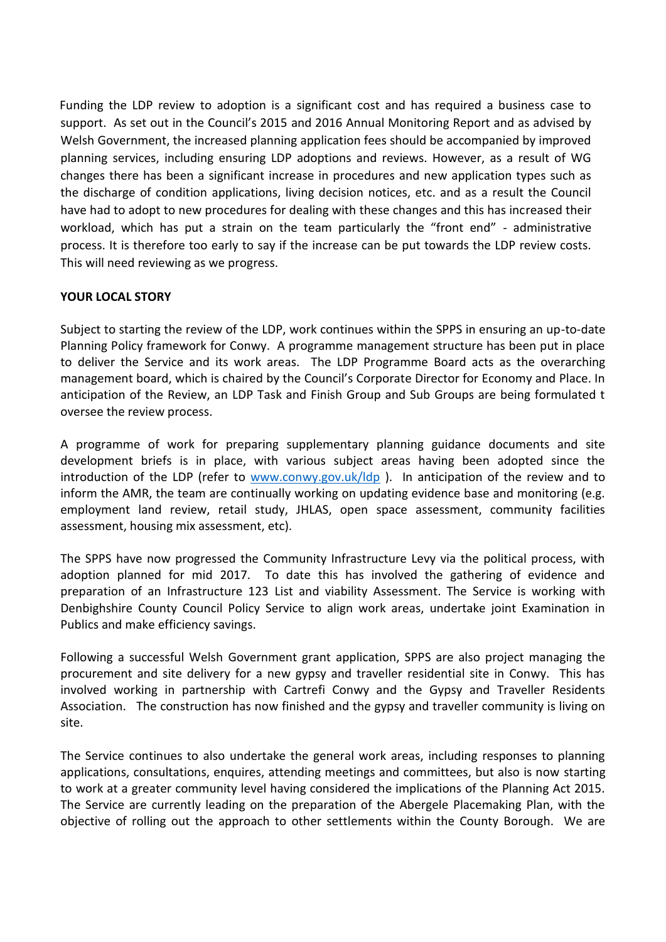Funding the LDP review to adoption is a significant cost and has required a business case to support. As set out in the Council's 2015 and 2016 Annual Monitoring Report and as advised by Welsh Government, the increased planning application fees should be accompanied by improved planning services, including ensuring LDP adoptions and reviews. However, as a result of WG changes there has been a significant increase in procedures and new application types such as the discharge of condition applications, living decision notices, etc. and as a result the Council have had to adopt to new procedures for dealing with these changes and this has increased their workload, which has put a strain on the team particularly the "front end" - administrative process. It is therefore too early to say if the increase can be put towards the LDP review costs. This will need reviewing as we progress.

## **YOUR LOCAL STORY**

Subject to starting the review of the LDP, work continues within the SPPS in ensuring an up-to-date Planning Policy framework for Conwy. A programme management structure has been put in place to deliver the Service and its work areas. The LDP Programme Board acts as the overarching management board, which is chaired by the Council's Corporate Director for Economy and Place. In anticipation of the Review, an LDP Task and Finish Group and Sub Groups are being formulated t oversee the review process.

A programme of work for preparing supplementary planning guidance documents and site development briefs is in place, with various subject areas having been adopted since the introduction of the LDP (refer to [www.conwy.gov.uk/ldp](http://www.conwy.gov.uk/ldp)). In anticipation of the review and to inform the AMR, the team are continually working on updating evidence base and monitoring (e.g. employment land review, retail study, JHLAS, open space assessment, community facilities assessment, housing mix assessment, etc).

The SPPS have now progressed the Community Infrastructure Levy via the political process, with adoption planned for mid 2017. To date this has involved the gathering of evidence and preparation of an Infrastructure 123 List and viability Assessment. The Service is working with Denbighshire County Council Policy Service to align work areas, undertake joint Examination in Publics and make efficiency savings.

Following a successful Welsh Government grant application, SPPS are also project managing the procurement and site delivery for a new gypsy and traveller residential site in Conwy. This has involved working in partnership with Cartrefi Conwy and the Gypsy and Traveller Residents Association. The construction has now finished and the gypsy and traveller community is living on site.

The Service continues to also undertake the general work areas, including responses to planning applications, consultations, enquires, attending meetings and committees, but also is now starting to work at a greater community level having considered the implications of the Planning Act 2015. The Service are currently leading on the preparation of the Abergele Placemaking Plan, with the objective of rolling out the approach to other settlements within the County Borough. We are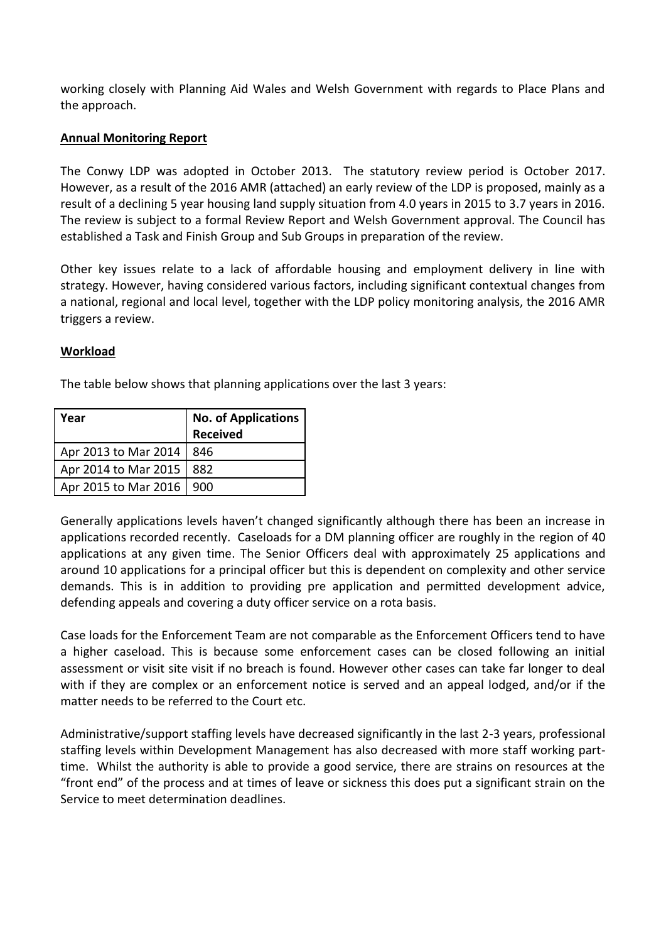working closely with Planning Aid Wales and Welsh Government with regards to Place Plans and the approach.

#### **Annual Monitoring Report**

The Conwy LDP was adopted in October 2013. The statutory review period is October 2017. However, as a result of the 2016 AMR (attached) an early review of the LDP is proposed, mainly as a result of a declining 5 year housing land supply situation from 4.0 years in 2015 to 3.7 years in 2016. The review is subject to a formal Review Report and Welsh Government approval. The Council has established a Task and Finish Group and Sub Groups in preparation of the review.

Other key issues relate to a lack of affordable housing and employment delivery in line with strategy. However, having considered various factors, including significant contextual changes from a national, regional and local level, together with the LDP policy monitoring analysis, the 2016 AMR triggers a review.

## **Workload**

The table below shows that planning applications over the last 3 years:

| Year                 | <b>No. of Applications</b><br><b>Received</b> |
|----------------------|-----------------------------------------------|
| Apr 2013 to Mar 2014 | 846                                           |
| Apr 2014 to Mar 2015 | 882                                           |
| Apr 2015 to Mar 2016 | 900                                           |

Generally applications levels haven't changed significantly although there has been an increase in applications recorded recently. Caseloads for a DM planning officer are roughly in the region of 40 applications at any given time. The Senior Officers deal with approximately 25 applications and around 10 applications for a principal officer but this is dependent on complexity and other service demands. This is in addition to providing pre application and permitted development advice, defending appeals and covering a duty officer service on a rota basis.

Case loads for the Enforcement Team are not comparable as the Enforcement Officers tend to have a higher caseload. This is because some enforcement cases can be closed following an initial assessment or visit site visit if no breach is found. However other cases can take far longer to deal with if they are complex or an enforcement notice is served and an appeal lodged, and/or if the matter needs to be referred to the Court etc.

Administrative/support staffing levels have decreased significantly in the last 2-3 years, professional staffing levels within Development Management has also decreased with more staff working parttime. Whilst the authority is able to provide a good service, there are strains on resources at the "front end" of the process and at times of leave or sickness this does put a significant strain on the Service to meet determination deadlines.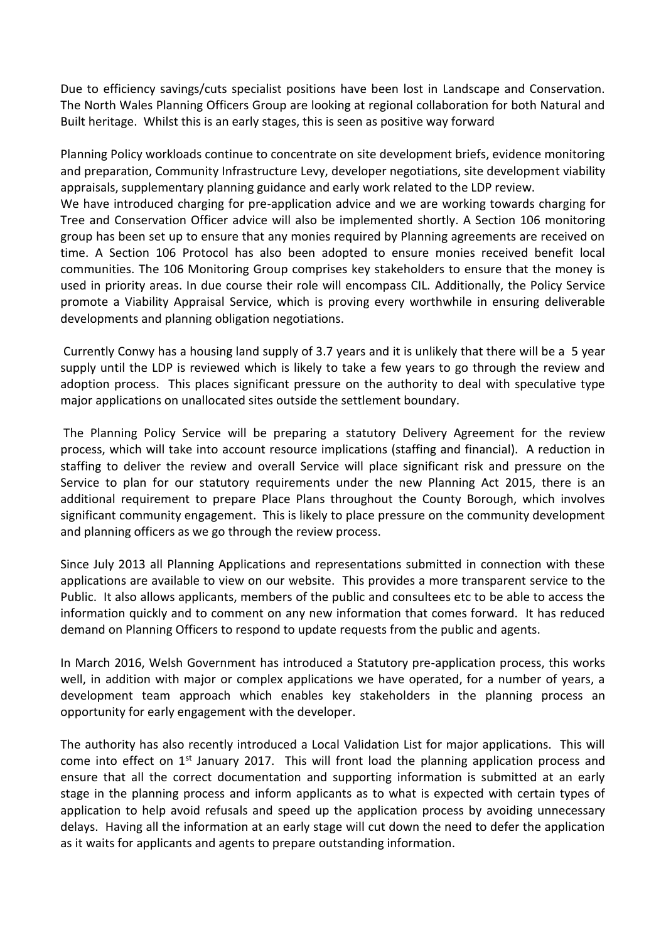Due to efficiency savings/cuts specialist positions have been lost in Landscape and Conservation. The North Wales Planning Officers Group are looking at regional collaboration for both Natural and Built heritage. Whilst this is an early stages, this is seen as positive way forward

Planning Policy workloads continue to concentrate on site development briefs, evidence monitoring and preparation, Community Infrastructure Levy, developer negotiations, site development viability appraisals, supplementary planning guidance and early work related to the LDP review.

We have introduced charging for pre-application advice and we are working towards charging for Tree and Conservation Officer advice will also be implemented shortly. A Section 106 monitoring group has been set up to ensure that any monies required by Planning agreements are received on time. A Section 106 Protocol has also been adopted to ensure monies received benefit local communities. The 106 Monitoring Group comprises key stakeholders to ensure that the money is used in priority areas. In due course their role will encompass CIL. Additionally, the Policy Service promote a Viability Appraisal Service, which is proving every worthwhile in ensuring deliverable developments and planning obligation negotiations.

Currently Conwy has a housing land supply of 3.7 years and it is unlikely that there will be a 5 year supply until the LDP is reviewed which is likely to take a few years to go through the review and adoption process. This places significant pressure on the authority to deal with speculative type major applications on unallocated sites outside the settlement boundary.

The Planning Policy Service will be preparing a statutory Delivery Agreement for the review process, which will take into account resource implications (staffing and financial). A reduction in staffing to deliver the review and overall Service will place significant risk and pressure on the Service to plan for our statutory requirements under the new Planning Act 2015, there is an additional requirement to prepare Place Plans throughout the County Borough, which involves significant community engagement. This is likely to place pressure on the community development and planning officers as we go through the review process.

Since July 2013 all Planning Applications and representations submitted in connection with these applications are available to view on our website. This provides a more transparent service to the Public. It also allows applicants, members of the public and consultees etc to be able to access the information quickly and to comment on any new information that comes forward. It has reduced demand on Planning Officers to respond to update requests from the public and agents.

In March 2016, Welsh Government has introduced a Statutory pre-application process, this works well, in addition with major or complex applications we have operated, for a number of years, a development team approach which enables key stakeholders in the planning process an opportunity for early engagement with the developer.

The authority has also recently introduced a Local Validation List for major applications. This will come into effect on  $1<sup>st</sup>$  January 2017. This will front load the planning application process and ensure that all the correct documentation and supporting information is submitted at an early stage in the planning process and inform applicants as to what is expected with certain types of application to help avoid refusals and speed up the application process by avoiding unnecessary delays. Having all the information at an early stage will cut down the need to defer the application as it waits for applicants and agents to prepare outstanding information.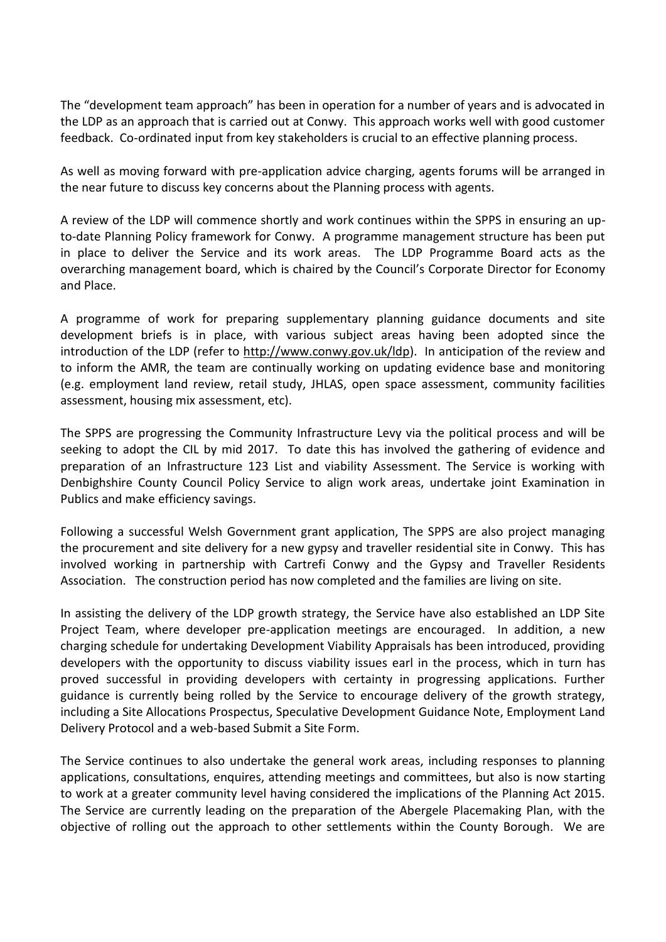The "development team approach" has been in operation for a number of years and is advocated in the LDP as an approach that is carried out at Conwy. This approach works well with good customer feedback. Co-ordinated input from key stakeholders is crucial to an effective planning process.

As well as moving forward with pre-application advice charging, agents forums will be arranged in the near future to discuss key concerns about the Planning process with agents.

A review of the LDP will commence shortly and work continues within the SPPS in ensuring an upto-date Planning Policy framework for Conwy. A programme management structure has been put in place to deliver the Service and its work areas. The LDP Programme Board acts as the overarching management board, which is chaired by the Council's Corporate Director for Economy and Place.

A programme of work for preparing supplementary planning guidance documents and site development briefs is in place, with various subject areas having been adopted since the introduction of the LDP (refer to [http://www.conwy.gov.uk/ldp\)](http://www.conwy.gov.uk/ldp). In anticipation of the review and to inform the AMR, the team are continually working on updating evidence base and monitoring (e.g. employment land review, retail study, JHLAS, open space assessment, community facilities assessment, housing mix assessment, etc).

The SPPS are progressing the Community Infrastructure Levy via the political process and will be seeking to adopt the CIL by mid 2017. To date this has involved the gathering of evidence and preparation of an Infrastructure 123 List and viability Assessment. The Service is working with Denbighshire County Council Policy Service to align work areas, undertake joint Examination in Publics and make efficiency savings.

Following a successful Welsh Government grant application, The SPPS are also project managing the procurement and site delivery for a new gypsy and traveller residential site in Conwy. This has involved working in partnership with Cartrefi Conwy and the Gypsy and Traveller Residents Association. The construction period has now completed and the families are living on site.

In assisting the delivery of the LDP growth strategy, the Service have also established an LDP Site Project Team, where developer pre-application meetings are encouraged. In addition, a new charging schedule for undertaking Development Viability Appraisals has been introduced, providing developers with the opportunity to discuss viability issues earl in the process, which in turn has proved successful in providing developers with certainty in progressing applications. Further guidance is currently being rolled by the Service to encourage delivery of the growth strategy, including a Site Allocations Prospectus, Speculative Development Guidance Note, Employment Land Delivery Protocol and a web-based Submit a Site Form.

The Service continues to also undertake the general work areas, including responses to planning applications, consultations, enquires, attending meetings and committees, but also is now starting to work at a greater community level having considered the implications of the Planning Act 2015. The Service are currently leading on the preparation of the Abergele Placemaking Plan, with the objective of rolling out the approach to other settlements within the County Borough. We are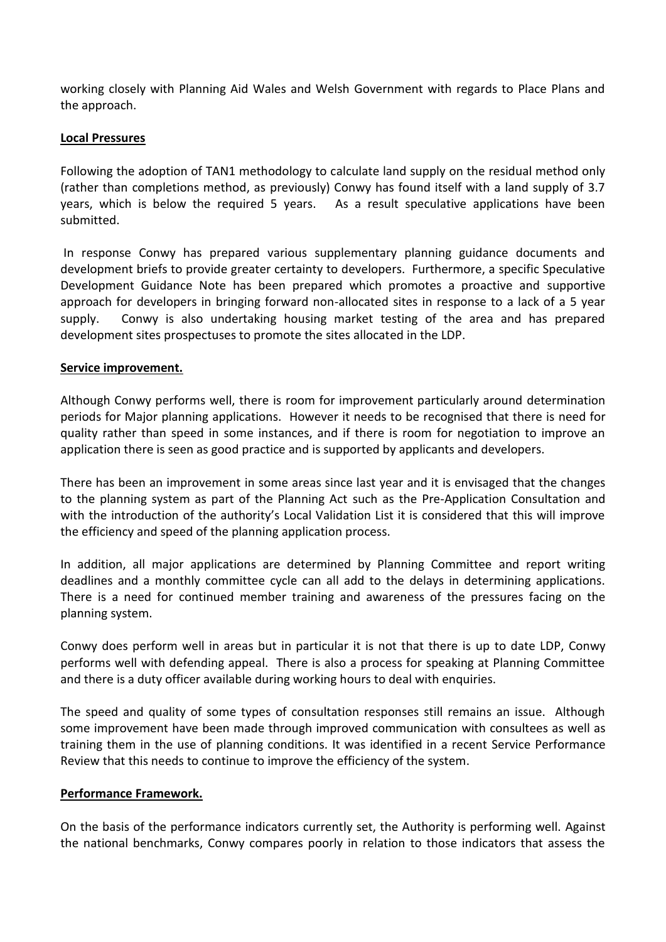working closely with Planning Aid Wales and Welsh Government with regards to Place Plans and the approach.

#### **Local Pressures**

Following the adoption of TAN1 methodology to calculate land supply on the residual method only (rather than completions method, as previously) Conwy has found itself with a land supply of 3.7 years, which is below the required 5 years. As a result speculative applications have been submitted.

In response Conwy has prepared various supplementary planning guidance documents and development briefs to provide greater certainty to developers. Furthermore, a specific Speculative Development Guidance Note has been prepared which promotes a proactive and supportive approach for developers in bringing forward non-allocated sites in response to a lack of a 5 year supply. Conwy is also undertaking housing market testing of the area and has prepared development sites prospectuses to promote the sites allocated in the LDP.

### **Service improvement.**

Although Conwy performs well, there is room for improvement particularly around determination periods for Major planning applications. However it needs to be recognised that there is need for quality rather than speed in some instances, and if there is room for negotiation to improve an application there is seen as good practice and is supported by applicants and developers.

There has been an improvement in some areas since last year and it is envisaged that the changes to the planning system as part of the Planning Act such as the Pre-Application Consultation and with the introduction of the authority's Local Validation List it is considered that this will improve the efficiency and speed of the planning application process.

In addition, all major applications are determined by Planning Committee and report writing deadlines and a monthly committee cycle can all add to the delays in determining applications. There is a need for continued member training and awareness of the pressures facing on the planning system.

Conwy does perform well in areas but in particular it is not that there is up to date LDP, Conwy performs well with defending appeal. There is also a process for speaking at Planning Committee and there is a duty officer available during working hours to deal with enquiries.

The speed and quality of some types of consultation responses still remains an issue. Although some improvement have been made through improved communication with consultees as well as training them in the use of planning conditions. It was identified in a recent Service Performance Review that this needs to continue to improve the efficiency of the system.

#### **Performance Framework.**

On the basis of the performance indicators currently set, the Authority is performing well. Against the national benchmarks, Conwy compares poorly in relation to those indicators that assess the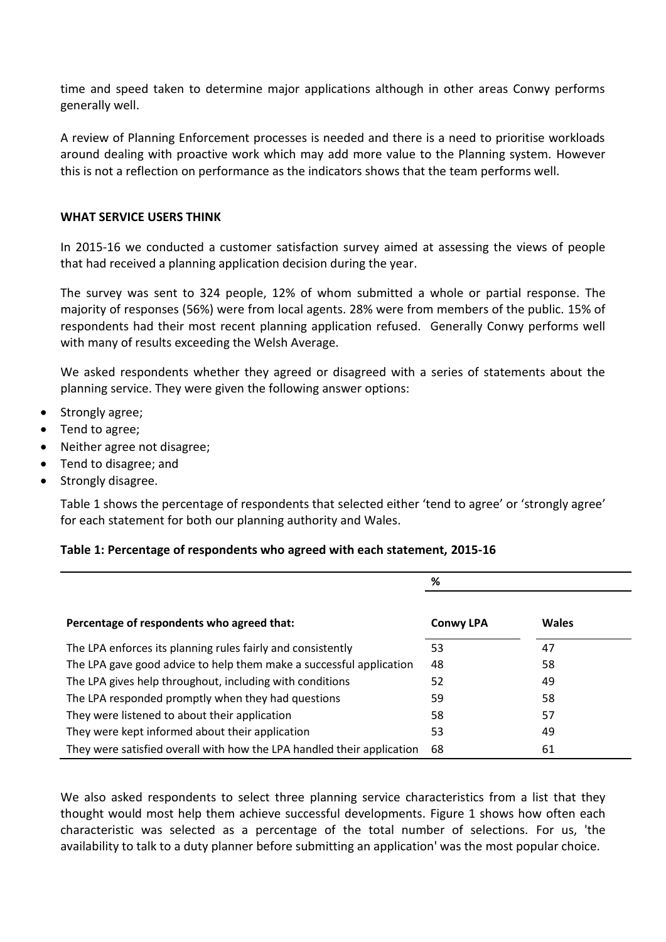time and speed taken to determine major applications although in other areas Conwy performs generally well.

A review of Planning Enforcement processes is needed and there is a need to prioritise workloads around dealing with proactive work which may add more value to the Planning system. However this is not a reflection on performance as the indicators shows that the team performs well.

#### **WHAT SERVICE USERS THINK**

In 2015-16 we conducted a customer satisfaction survey aimed at assessing the views of people that had received a planning application decision during the year.

The survey was sent to 324 people, 12% of whom submitted a whole or partial response. The majority of responses (56%) were from local agents. 28% were from members of the public. 15% of respondents had their most recent planning application refused. Generally Conwy performs well with many of results exceeding the Welsh Average.

We asked respondents whether they agreed or disagreed with a series of statements about the planning service. They were given the following answer options:

- Strongly agree;
- Tend to agree;
- Neither agree not disagree;
- Tend to disagree; and
- Strongly disagree.

Table 1 shows the percentage of respondents that selected either 'tend to agree' or 'strongly agree' for each statement for both our planning authority and Wales.

#### **Table 1: Percentage of respondents who agreed with each statement, 2015-16**

|                                                                        | %                |       |  |
|------------------------------------------------------------------------|------------------|-------|--|
| Percentage of respondents who agreed that:                             | <b>Conwy LPA</b> | Wales |  |
| The LPA enforces its planning rules fairly and consistently            | 53               | 47    |  |
| The LPA gave good advice to help them make a successful application    | 48               | 58    |  |
| The LPA gives help throughout, including with conditions               | 52               | 49    |  |
| The LPA responded promptly when they had questions                     | 59               | 58    |  |
| They were listened to about their application                          | 58               | 57    |  |
| They were kept informed about their application                        | 53               | 49    |  |
| They were satisfied overall with how the LPA handled their application | 68               | 61    |  |

We also asked respondents to select three planning service characteristics from a list that they thought would most help them achieve successful developments. Figure 1 shows how often each characteristic was selected as a percentage of the total number of selections. For us, 'the availability to talk to a duty planner before submitting an application' was the most popular choice.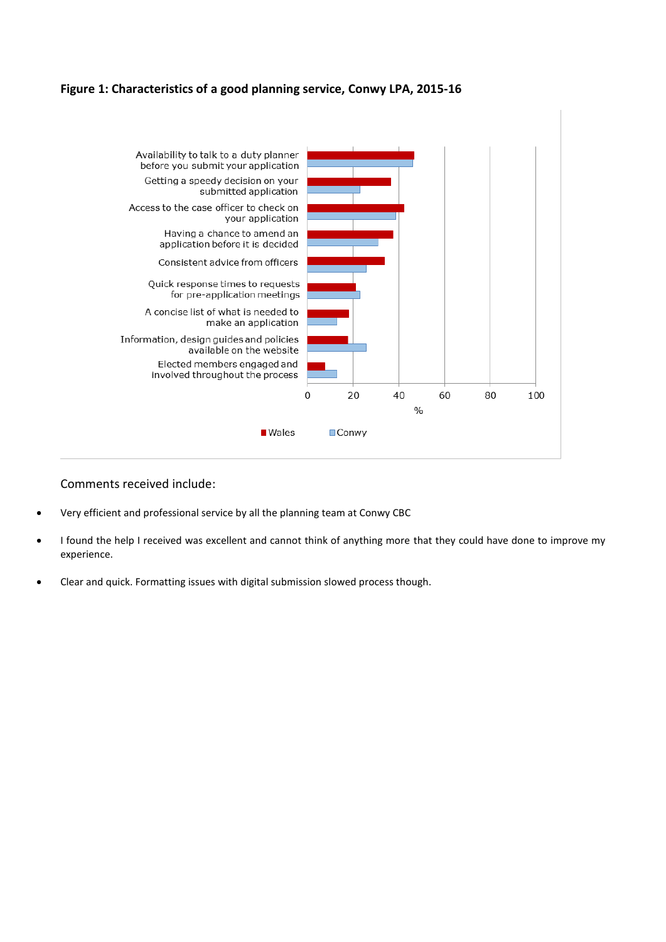#### **Figure 1: Characteristics of a good planning service, Conwy LPA, 2015-16**



#### Comments received include:

- Very efficient and professional service by all the planning team at Conwy CBC
- I found the help I received was excellent and cannot think of anything more that they could have done to improve my experience.
- Clear and quick. Formatting issues with digital submission slowed process though.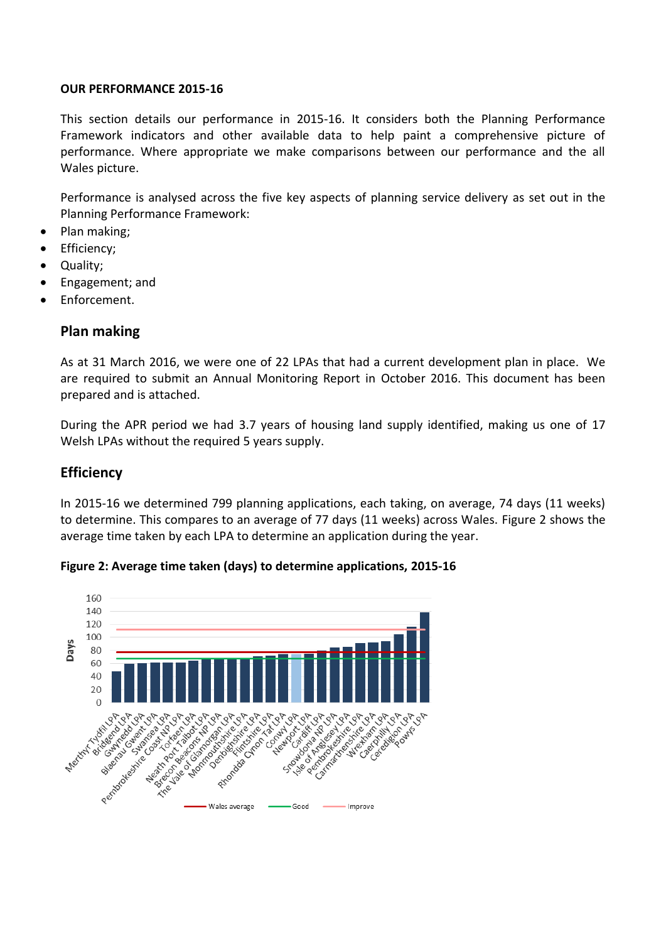#### **OUR PERFORMANCE 2015-16**

This section details our performance in 2015-16. It considers both the Planning Performance Framework indicators and other available data to help paint a comprehensive picture of performance. Where appropriate we make comparisons between our performance and the all Wales picture.

Performance is analysed across the five key aspects of planning service delivery as set out in the Planning Performance Framework:

- Plan making;
- Efficiency;
- Quality;
- Engagement; and
- Enforcement.

## **Plan making**

As at 31 March 2016, we were one of 22 LPAs that had a current development plan in place. We are required to submit an Annual Monitoring Report in October 2016. This document has been prepared and is attached.

During the APR period we had 3.7 years of housing land supply identified, making us one of 17 Welsh LPAs without the required 5 years supply.

## **Efficiency**

In 2015-16 we determined 799 planning applications, each taking, on average, 74 days (11 weeks) to determine. This compares to an average of 77 days (11 weeks) across Wales. Figure 2 shows the average time taken by each LPA to determine an application during the year.



**Figure 2: Average time taken (days) to determine applications, 2015-16**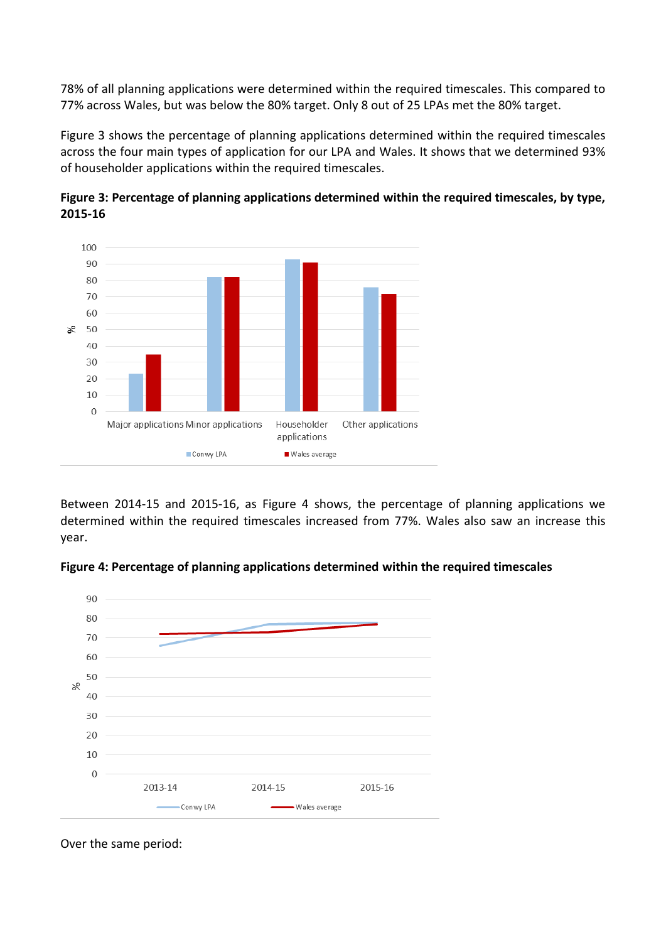78% of all planning applications were determined within the required timescales. This compared to 77% across Wales, but was below the 80% target. Only 8 out of 25 LPAs met the 80% target.

Figure 3 shows the percentage of planning applications determined within the required timescales across the four main types of application for our LPA and Wales. It shows that we determined 93% of householder applications within the required timescales.





Between 2014-15 and 2015-16, as Figure 4 shows, the percentage of planning applications we determined within the required timescales increased from 77%. Wales also saw an increase this year.





Over the same period: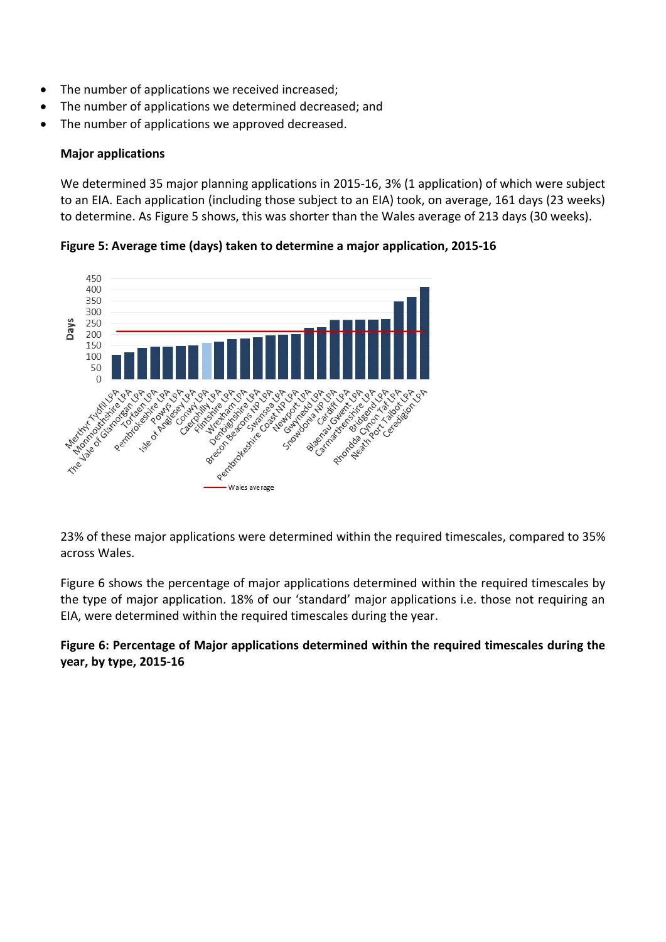- The number of applications we received increased;
- The number of applications we determined decreased; and
- The number of applications we approved decreased.

#### **Major applications**

We determined 35 major planning applications in 2015-16, 3% (1 application) of which were subject to an EIA. Each application (including those subject to an EIA) took, on average, 161 days (23 weeks) to determine. As Figure 5 shows, this was shorter than the Wales average of 213 days (30 weeks).

**Figure 5: Average time (days) taken to determine a major application, 2015-16**



23% of these major applications were determined within the required timescales, compared to 35% across Wales.

Figure 6 shows the percentage of major applications determined within the required timescales by the type of major application. 18% of our 'standard' major applications i.e. those not requiring an EIA, were determined within the required timescales during the year.

**Figure 6: Percentage of Major applications determined within the required timescales during the year, by type, 2015-16**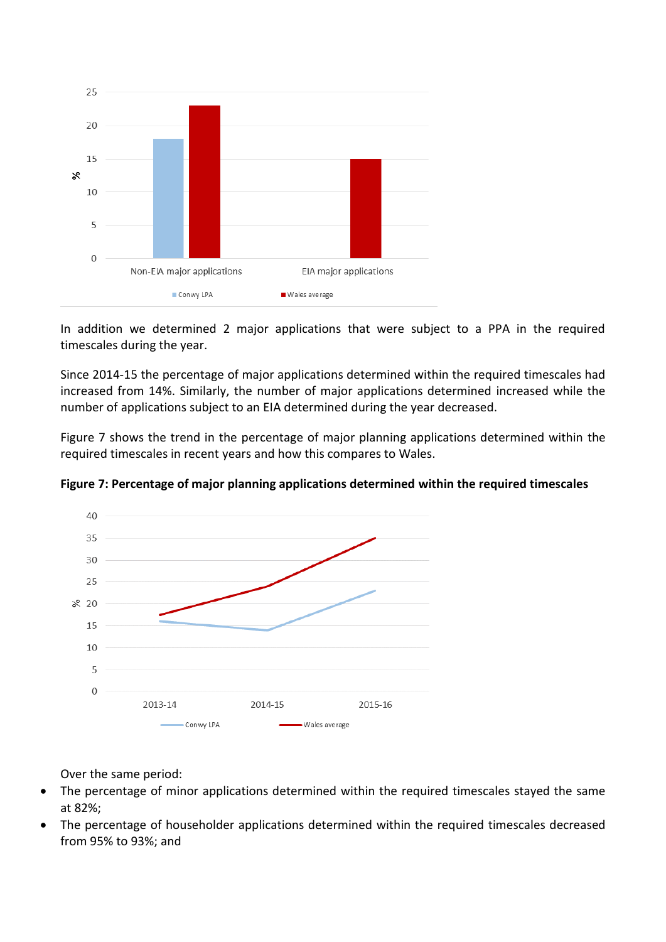

In addition we determined 2 major applications that were subject to a PPA in the required timescales during the year.

Since 2014-15 the percentage of major applications determined within the required timescales had increased from 14%. Similarly, the number of major applications determined increased while the number of applications subject to an EIA determined during the year decreased.

Figure 7 shows the trend in the percentage of major planning applications determined within the required timescales in recent years and how this compares to Wales.



**Figure 7: Percentage of major planning applications determined within the required timescales**

Over the same period:

- The percentage of minor applications determined within the required timescales stayed the same at 82%;
- The percentage of householder applications determined within the required timescales decreased from 95% to 93%; and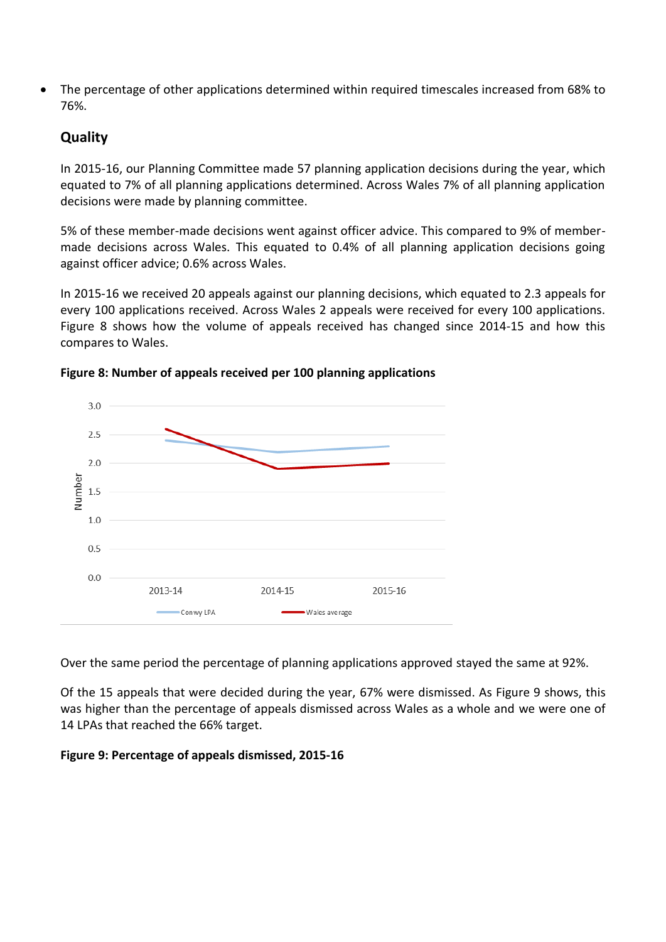The percentage of other applications determined within required timescales increased from 68% to 76%.

## **Quality**

In 2015-16, our Planning Committee made 57 planning application decisions during the year, which equated to 7% of all planning applications determined. Across Wales 7% of all planning application decisions were made by planning committee.

5% of these member-made decisions went against officer advice. This compared to 9% of membermade decisions across Wales. This equated to 0.4% of all planning application decisions going against officer advice; 0.6% across Wales.

In 2015-16 we received 20 appeals against our planning decisions, which equated to 2.3 appeals for every 100 applications received. Across Wales 2 appeals were received for every 100 applications. Figure 8 shows how the volume of appeals received has changed since 2014-15 and how this compares to Wales.



**Figure 8: Number of appeals received per 100 planning applications**

Over the same period the percentage of planning applications approved stayed the same at 92%.

Of the 15 appeals that were decided during the year, 67% were dismissed. As Figure 9 shows, this was higher than the percentage of appeals dismissed across Wales as a whole and we were one of 14 LPAs that reached the 66% target.

## **Figure 9: Percentage of appeals dismissed, 2015-16**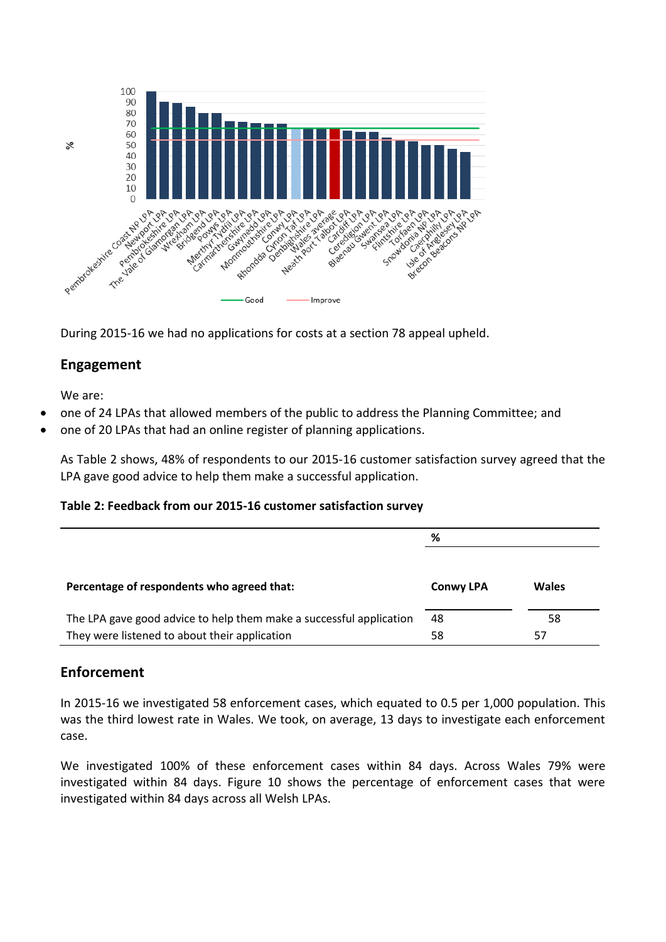

During 2015-16 we had no applications for costs at a section 78 appeal upheld.

## **Engagement**

We are:

- one of 24 LPAs that allowed members of the public to address the Planning Committee; and
- one of 20 LPAs that had an online register of planning applications.

As Table 2 shows, 48% of respondents to our 2015-16 customer satisfaction survey agreed that the LPA gave good advice to help them make a successful application.

#### **Table 2: Feedback from our 2015-16 customer satisfaction survey**

|                                                                     | %                |              |
|---------------------------------------------------------------------|------------------|--------------|
|                                                                     |                  |              |
| Percentage of respondents who agreed that:                          | <b>Conwy LPA</b> | <b>Wales</b> |
| The LPA gave good advice to help them make a successful application | 48               | 58           |
| They were listened to about their application                       | 58               | 57           |

## **Enforcement**

In 2015-16 we investigated 58 enforcement cases, which equated to 0.5 per 1,000 population. This was the third lowest rate in Wales. We took, on average, 13 days to investigate each enforcement case.

We investigated 100% of these enforcement cases within 84 days. Across Wales 79% were investigated within 84 days. Figure 10 shows the percentage of enforcement cases that were investigated within 84 days across all Welsh LPAs.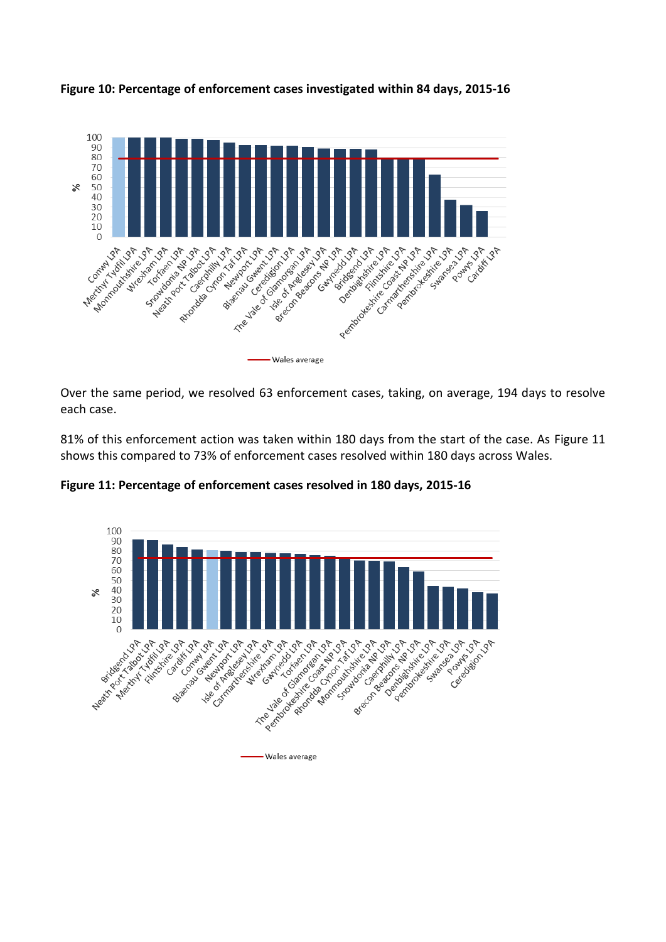

**Figure 10: Percentage of enforcement cases investigated within 84 days, 2015-16**

Over the same period, we resolved 63 enforcement cases, taking, on average, 194 days to resolve each case.

81% of this enforcement action was taken within 180 days from the start of the case. As Figure 11 shows this compared to 73% of enforcement cases resolved within 180 days across Wales.



**Figure 11: Percentage of enforcement cases resolved in 180 days, 2015-16**

- Wales average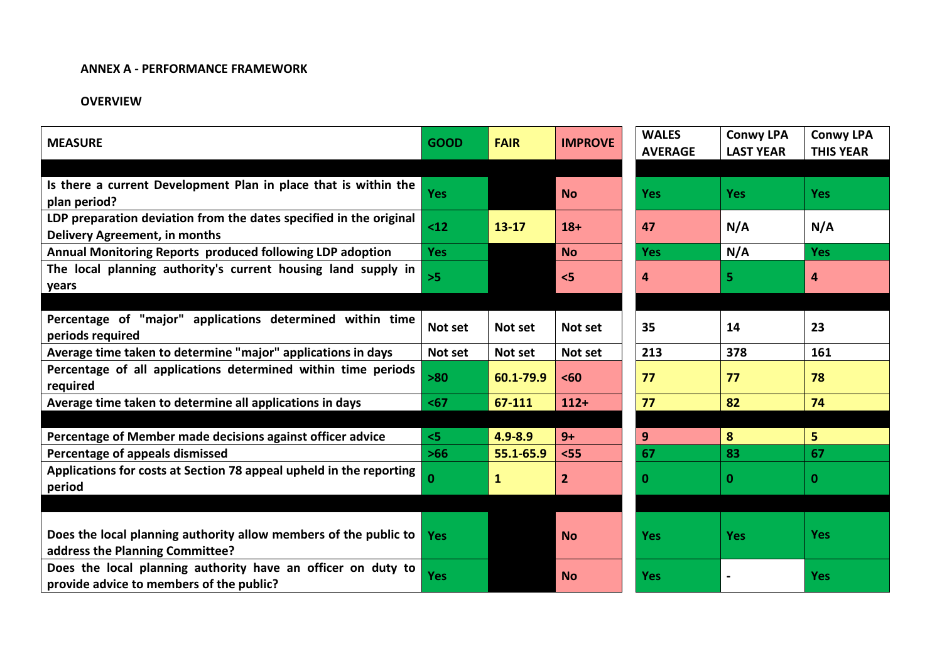#### **ANNEX A - PERFORMANCE FRAMEWORK**

#### **OVERVIEW**

| <b>MEASURE</b>                                                                                             | <b>GOOD</b> | <b>FAIR</b>  | <b>IMPROVE</b> | <b>WALES</b><br><b>AVERAGE</b> | <b>Conwy LPA</b><br><b>LAST YEAR</b> | <b>Conwy LPA</b><br><b>THIS YEAR</b> |
|------------------------------------------------------------------------------------------------------------|-------------|--------------|----------------|--------------------------------|--------------------------------------|--------------------------------------|
|                                                                                                            |             |              |                |                                |                                      |                                      |
| Is there a current Development Plan in place that is within the<br>plan period?                            | <b>Yes</b>  |              | <b>No</b>      | <b>Yes</b>                     | <b>Yes</b>                           | <b>Yes</b>                           |
| LDP preparation deviation from the dates specified in the original<br><b>Delivery Agreement, in months</b> | $12$        | $13 - 17$    | $18+$          | 47                             | N/A                                  | N/A                                  |
| Annual Monitoring Reports produced following LDP adoption                                                  | <b>Yes</b>  |              | <b>No</b>      | <b>Yes</b>                     | N/A                                  | <b>Yes</b>                           |
| The local planning authority's current housing land supply in<br>years                                     | $>5$        |              | 5              | 4                              | 5                                    | 4                                    |
|                                                                                                            |             |              |                |                                |                                      |                                      |
| Percentage of "major" applications determined within time<br>periods required                              | Not set     | Not set      | Not set        | 35                             | 14                                   | 23                                   |
| Average time taken to determine "major" applications in days                                               | Not set     | Not set      | Not set        | 213                            | 378                                  | 161                                  |
| Percentage of all applications determined within time periods<br>required                                  | $>80$       | 60.1-79.9    | $60$           | 77                             | 77                                   | 78                                   |
| Average time taken to determine all applications in days                                                   | $67$        | 67-111       | $112+$         | 77                             | 82                                   | 74                                   |
|                                                                                                            |             |              |                |                                |                                      |                                      |
| Percentage of Member made decisions against officer advice                                                 | < 5         | 4.9-8.9      | $9+$           | 9                              | 8                                    | 5                                    |
| Percentage of appeals dismissed                                                                            | $>66$       | 55.1-65.9    | $<$ 55         | 67                             | 83                                   | 67                                   |
| Applications for costs at Section 78 appeal upheld in the reporting<br>period                              | 0           | $\mathbf{1}$ | $\overline{2}$ | $\bf{0}$                       | 0                                    | 0                                    |
|                                                                                                            |             |              |                |                                |                                      |                                      |
| Does the local planning authority allow members of the public to<br>address the Planning Committee?        | <b>Yes</b>  |              | <b>No</b>      | <b>Yes</b>                     | <b>Yes</b>                           | <b>Yes</b>                           |
| Does the local planning authority have an officer on duty to<br>provide advice to members of the public?   | <b>Yes</b>  |              | <b>No</b>      | <b>Yes</b>                     |                                      | <b>Yes</b>                           |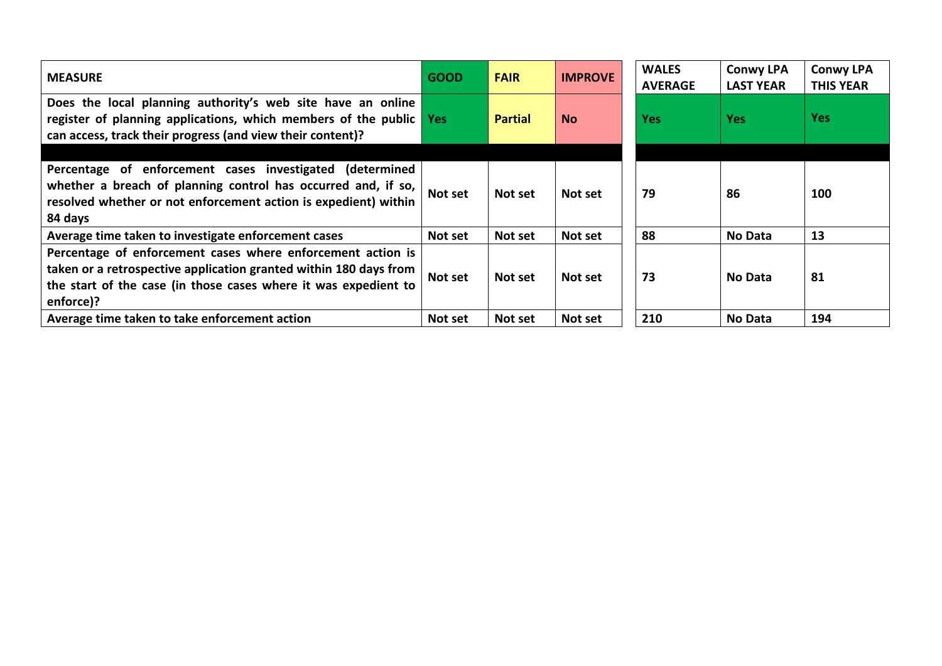| <b>MEASURE</b>                                                                                                                                                                                                   | <b>GOOD</b> | <b>FAIR</b>    | <b>IMPROVE</b> | <b>WALES</b><br><b>AVERAGE</b> | <b>Conwy LPA</b><br><b>LAST YEAR</b> | <b>Conwy LPA</b><br><b>THIS YEAR</b> |
|------------------------------------------------------------------------------------------------------------------------------------------------------------------------------------------------------------------|-------------|----------------|----------------|--------------------------------|--------------------------------------|--------------------------------------|
| Does the local planning authority's web site have an online<br>register of planning applications, which members of the public Yes<br>can access, track their progress (and view their content)?                  |             | <b>Partial</b> | <b>No</b>      | <b>Yes</b>                     | <b>Yes</b>                           | <b>Yes</b>                           |
| Percentage of enforcement cases investigated (determined<br>whether a breach of planning control has occurred and, if so,<br>resolved whether or not enforcement action is expedient) within<br>84 days          | Not set     | Not set        | Not set        | 79                             | 86                                   | 100                                  |
| Average time taken to investigate enforcement cases                                                                                                                                                              | Not set     | Not set        | Not set        | 88                             | No Data                              | 13                                   |
| Percentage of enforcement cases where enforcement action is<br>taken or a retrospective application granted within 180 days from<br>the start of the case (in those cases where it was expedient to<br>enforce)? | Not set     | Not set        | Not set        | 73                             | No Data                              | 81                                   |
| Average time taken to take enforcement action                                                                                                                                                                    | Not set     | Not set        | Not set        | 210                            | <b>No Data</b>                       | 194                                  |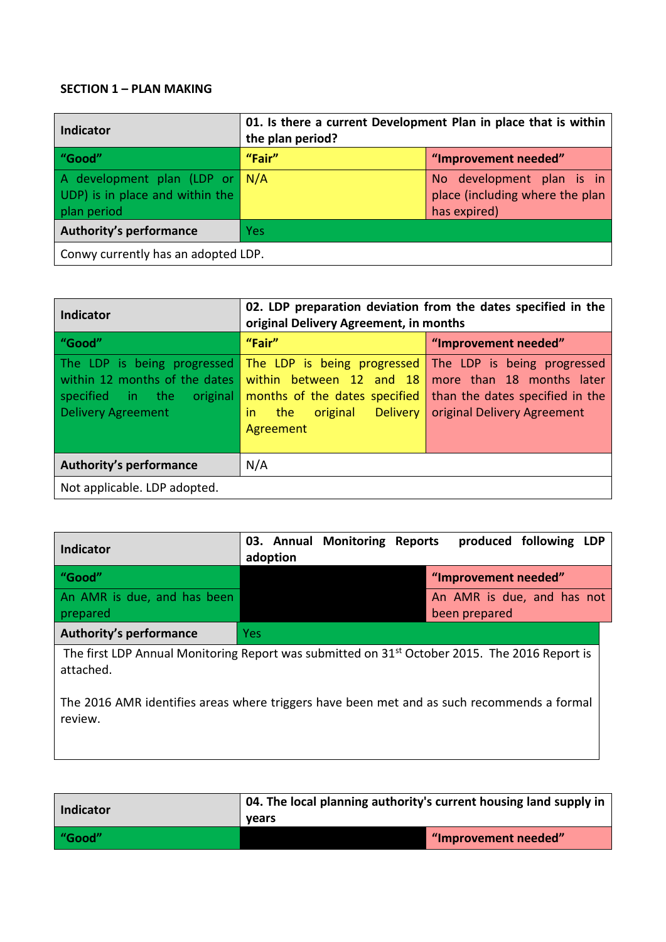#### **SECTION 1 – PLAN MAKING**

| Indicator                                                                        | 01. Is there a current Development Plan in place that is within<br>the plan period? |                                                                              |  |  |  |
|----------------------------------------------------------------------------------|-------------------------------------------------------------------------------------|------------------------------------------------------------------------------|--|--|--|
| "Good"                                                                           | "Fair"                                                                              | "Improvement needed"                                                         |  |  |  |
| A development plan (LDP or N/A<br>UDP) is in place and within the<br>plan period |                                                                                     | No development plan is in<br>place (including where the plan<br>has expired) |  |  |  |
| <b>Authority's performance</b>                                                   | <b>Yes</b>                                                                          |                                                                              |  |  |  |
| Conwy currently has an adopted LDP.                                              |                                                                                     |                                                                              |  |  |  |

| <b>Indicator</b>                                                                                                          | 02. LDP preparation deviation from the dates specified in the<br>original Delivery Agreement, in months                                           |                                                                                                                            |  |  |  |
|---------------------------------------------------------------------------------------------------------------------------|---------------------------------------------------------------------------------------------------------------------------------------------------|----------------------------------------------------------------------------------------------------------------------------|--|--|--|
| "Good"                                                                                                                    | "Fair"                                                                                                                                            | "Improvement needed"                                                                                                       |  |  |  |
| The LDP is being progressed<br>within 12 months of the dates<br>specified in the<br>original<br><b>Delivery Agreement</b> | The LDP is being progressed<br>within between 12 and 18<br>months of the dates specified<br><b>Delivery</b><br>the<br>original<br>in<br>Agreement | The LDP is being progressed<br>more than 18 months later<br>than the dates specified in the<br>original Delivery Agreement |  |  |  |
| <b>Authority's performance</b>                                                                                            | N/A                                                                                                                                               |                                                                                                                            |  |  |  |
| Not applicable. LDP adopted.                                                                                              |                                                                                                                                                   |                                                                                                                            |  |  |  |

| Indicator                                                                                                              | 03. Annual Monitoring Reports<br>adoption |  | produced following LDP                      |  |
|------------------------------------------------------------------------------------------------------------------------|-------------------------------------------|--|---------------------------------------------|--|
| "Good"                                                                                                                 |                                           |  | "Improvement needed"                        |  |
| An AMR is due, and has been<br>prepared                                                                                |                                           |  | An AMR is due, and has not<br>been prepared |  |
| Authority's performance                                                                                                | <b>Yes</b>                                |  |                                             |  |
| The first LDP Annual Monitoring Report was submitted on 31 <sup>st</sup> October 2015. The 2016 Report is<br>attached. |                                           |  |                                             |  |

The 2016 AMR identifies areas where triggers have been met and as such recommends a formal review.

| Indicator | 04. The local planning authority's current housing land supply in<br>vears |                      |
|-----------|----------------------------------------------------------------------------|----------------------|
| "Good"    |                                                                            | "Improvement needed" |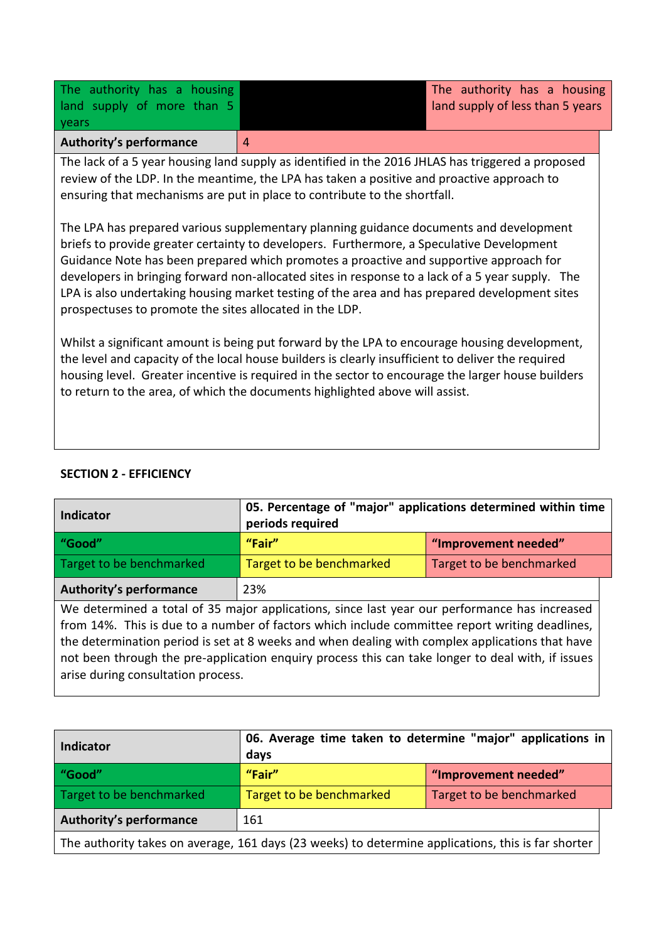| <b>Authority's performance</b> |                                  |
|--------------------------------|----------------------------------|
| <b>vears</b>                   |                                  |
| land supply of more than 5     | land supply of less than 5 years |
| The authority has a housing    | The authority has a housing      |

The lack of a 5 year housing land supply as identified in the 2016 JHLAS has triggered a proposed review of the LDP. In the meantime, the LPA has taken a positive and proactive approach to ensuring that mechanisms are put in place to contribute to the shortfall.

The LPA has prepared various supplementary planning guidance documents and development briefs to provide greater certainty to developers. Furthermore, a Speculative Development Guidance Note has been prepared which promotes a proactive and supportive approach for developers in bringing forward non-allocated sites in response to a lack of a 5 year supply. The LPA is also undertaking housing market testing of the area and has prepared development sites prospectuses to promote the sites allocated in the LDP.

Whilst a significant amount is being put forward by the LPA to encourage housing development, the level and capacity of the local house builders is clearly insufficient to deliver the required housing level. Greater incentive is required in the sector to encourage the larger house builders to return to the area, of which the documents highlighted above will assist.

## **SECTION 2 - EFFICIENCY**

| <b>Indicator</b>                                                                                  | 05. Percentage of "major" applications determined within time<br>periods required |                          |
|---------------------------------------------------------------------------------------------------|-----------------------------------------------------------------------------------|--------------------------|
| "Good"                                                                                            | "Fair"                                                                            | "Improvement needed"     |
| Target to be benchmarked                                                                          | Target to be benchmarked                                                          | Target to be benchmarked |
| <b>Authority's performance</b>                                                                    | 23%                                                                               |                          |
| We determined a total of 35 major applications, since last year our performance has increased     |                                                                                   |                          |
| from 14%. This is due to a number of factors which include committee report writing deadlines,    |                                                                                   |                          |
| the determination period is set at 8 weeks and when dealing with complex applications that have   |                                                                                   |                          |
| not been through the pre-application enquiry process this can take longer to deal with, if issues |                                                                                   |                          |

arise during consultation process.

| <b>Indicator</b>                                                                                   | 06. Average time taken to determine "major" applications in<br>days |                          |
|----------------------------------------------------------------------------------------------------|---------------------------------------------------------------------|--------------------------|
| "Good"                                                                                             | "Fair"<br>"Improvement needed"                                      |                          |
| Target to be benchmarked                                                                           | Target to be benchmarked                                            | Target to be benchmarked |
| <b>Authority's performance</b>                                                                     | 161                                                                 |                          |
| The authority takes on average, 161 days (23 weeks) to determine applications, this is far shorter |                                                                     |                          |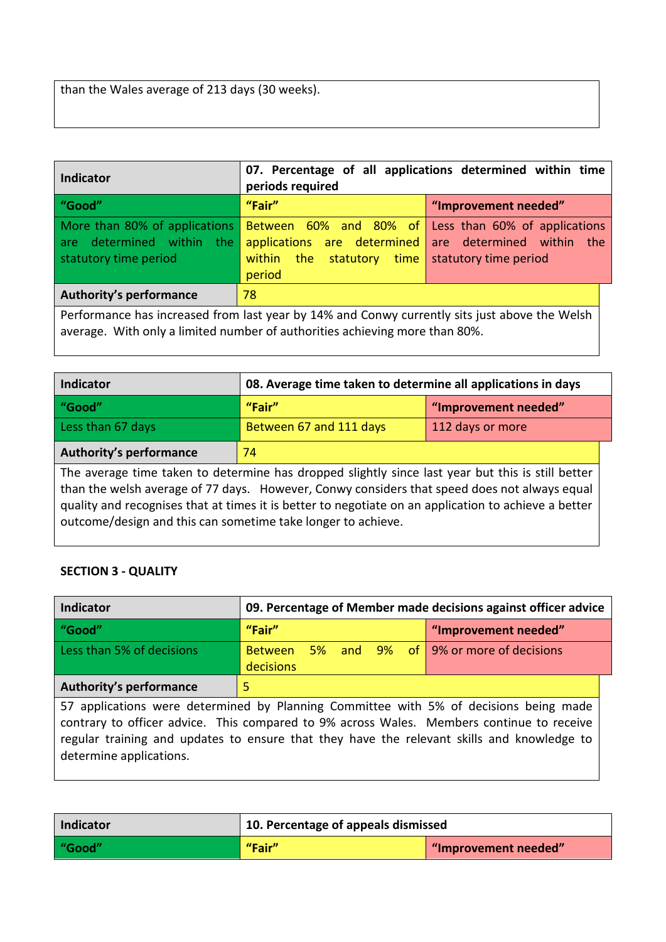than the Wales average of 213 days (30 weeks).

| Indicator                                                                                                                                                                    | 07. Percentage of all applications determined within time<br>periods required                                         |                                                                        |
|------------------------------------------------------------------------------------------------------------------------------------------------------------------------------|-----------------------------------------------------------------------------------------------------------------------|------------------------------------------------------------------------|
| "Good"                                                                                                                                                                       | "Fair"                                                                                                                | "Improvement needed"                                                   |
| More than 80% of applications<br>are determined within the<br>statutory time period                                                                                          | <b>Between</b> 60% and 80% of Less than 60% of applications<br>applications are determined<br>within<br>the<br>period | are determined within<br>the<br>statutory time   statutory time period |
| <b>Authority's performance</b><br>78                                                                                                                                         |                                                                                                                       |                                                                        |
| Performance has increased from last year by 14% and Conwy currently sits just above the Welsh<br>average. With only a limited number of authorities achieving more than 80%. |                                                                                                                       |                                                                        |

| <b>Indicator</b>                                                                                                                                                                                                                                                                                                                                                          | 08. Average time taken to determine all applications in days |                      |
|---------------------------------------------------------------------------------------------------------------------------------------------------------------------------------------------------------------------------------------------------------------------------------------------------------------------------------------------------------------------------|--------------------------------------------------------------|----------------------|
| "Good"                                                                                                                                                                                                                                                                                                                                                                    | "Fair"                                                       | "Improvement needed" |
| Less than 67 days                                                                                                                                                                                                                                                                                                                                                         | Between 67 and 111 days                                      | 112 days or more     |
| <b>Authority's performance</b>                                                                                                                                                                                                                                                                                                                                            | 74                                                           |                      |
| The average time taken to determine has dropped slightly since last year but this is still better<br>than the welsh average of 77 days. However, Conwy considers that speed does not always equal<br>quality and recognises that at times it is better to negotiate on an application to achieve a better<br>outcome/design and this can sometime take longer to achieve. |                                                              |                      |

# **SECTION 3 - QUALITY**

| <b>Indicator</b>                                                                                                                                                                                                                                                                                            | 09. Percentage of Member made decisions against officer advice |                                      |
|-------------------------------------------------------------------------------------------------------------------------------------------------------------------------------------------------------------------------------------------------------------------------------------------------------------|----------------------------------------------------------------|--------------------------------------|
| "Good"                                                                                                                                                                                                                                                                                                      | "Fair"                                                         | "Improvement needed"                 |
| Less than 5% of decisions                                                                                                                                                                                                                                                                                   | <b>Between</b><br>decisions                                    | 5% and 9% of 9% or more of decisions |
| <b>Authority's performance</b>                                                                                                                                                                                                                                                                              | 5                                                              |                                      |
| 57 applications were determined by Planning Committee with 5% of decisions being made<br>contrary to officer advice. This compared to 9% across Wales. Members continue to receive<br>regular training and updates to ensure that they have the relevant skills and knowledge to<br>determine applications. |                                                                |                                      |

| <b>Indicator</b> | 10. Percentage of appeals dismissed |                      |
|------------------|-------------------------------------|----------------------|
| "Good"           | "Fair"                              | "Improvement needed" |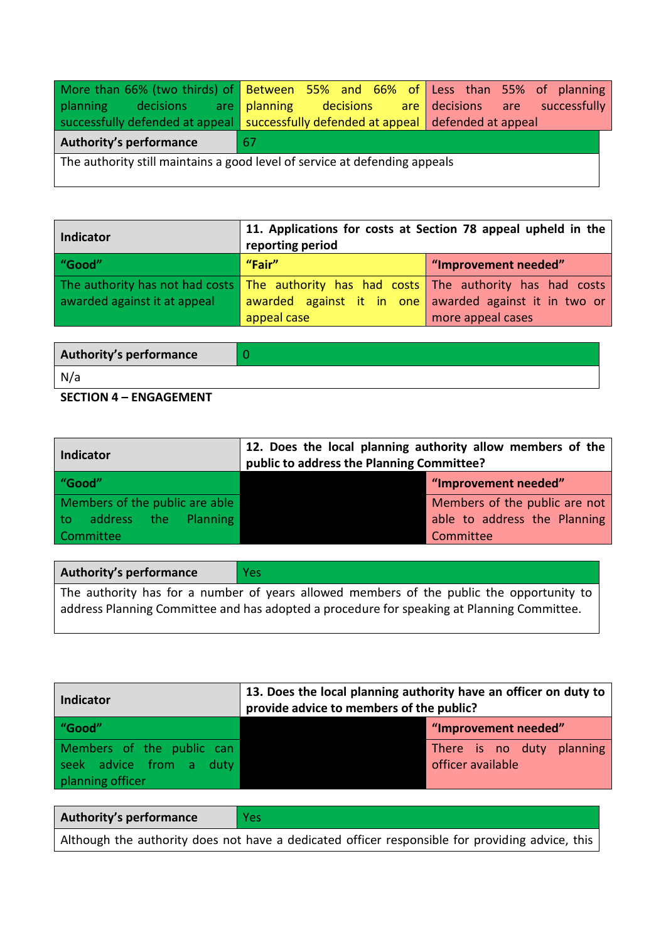|                                                                            | More than 66% (two thirds) of Between 55% and 66% of Less than 55% of planning         |  |
|----------------------------------------------------------------------------|----------------------------------------------------------------------------------------|--|
|                                                                            | planning decisions are planning decisions are decisions are successfully               |  |
|                                                                            | successfully defended at appeal   successfully defended at appeal   defended at appeal |  |
| <b>Authority's performance</b>                                             | -67                                                                                    |  |
| The authority still maintains a good level of service at defending appeals |                                                                                        |  |

| <b>Indicator</b>             | 11. Applications for costs at Section 78 appeal upheld in the<br>reporting period       |                                                        |
|------------------------------|-----------------------------------------------------------------------------------------|--------------------------------------------------------|
| "Good"                       | "Fair"                                                                                  | "Improvement needed"                                   |
| awarded against it at appeal | The authority has not had costs The authority has had costs The authority has had costs | awarded against it in one awarded against it in two or |
|                              | appeal case                                                                             | more appeal cases                                      |

| Authority's performance |  |
|-------------------------|--|
| N/a                     |  |
| $C = C = C$             |  |

#### **SECTION 4 – ENGAGEMENT**

| <b>Indicator</b>               | 12. Does the local planning authority allow members of the<br>public to address the Planning Committee? |                               |
|--------------------------------|---------------------------------------------------------------------------------------------------------|-------------------------------|
| "Good"                         |                                                                                                         | "Improvement needed"          |
| Members of the public are able |                                                                                                         | Members of the public are not |
| to address the Planning        |                                                                                                         | able to address the Planning  |
| <b>Committee</b>               |                                                                                                         | Committee                     |

| Authority's performance                                                                    | <b>Yes</b> |  |  |  |  |
|--------------------------------------------------------------------------------------------|------------|--|--|--|--|
| The authority has for a number of years allowed members of the public the opportunity to   |            |  |  |  |  |
| address Planning Committee and has adopted a procedure for speaking at Planning Committee. |            |  |  |  |  |

<u> 1989 - Andrea Station Barbara, amerikan personal di sebagai personal di sebagai personal di sebagai personal</u>

| Indicator                                                                | 13. Does the local planning authority have an officer on duty to<br>provide advice to members of the public? |
|--------------------------------------------------------------------------|--------------------------------------------------------------------------------------------------------------|
| "Good"                                                                   | "Improvement needed"                                                                                         |
| Members of the public can<br>seek advice from a duty<br>planning officer | There is no duty planning<br>officer available                                                               |

| <b>Authority's performance</b> | <b>Yes</b>                                                                                      |
|--------------------------------|-------------------------------------------------------------------------------------------------|
|                                | Although the authority does not have a dedicated officer responsible for providing advice, this |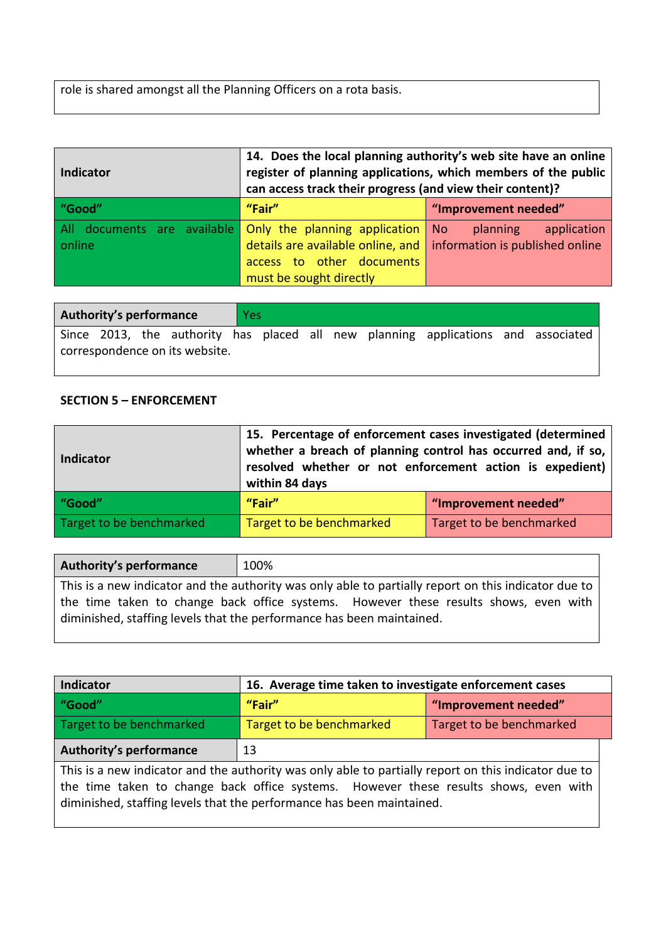role is shared amongst all the Planning Officers on a rota basis.

| <b>Indicator</b> | 14. Does the local planning authority's web site have an online<br>register of planning applications, which members of the public<br>can access track their progress (and view their content)?    |                         |  |  |  |  |  |  |  |  |
|------------------|---------------------------------------------------------------------------------------------------------------------------------------------------------------------------------------------------|-------------------------|--|--|--|--|--|--|--|--|
| "Good"           | "Fair"                                                                                                                                                                                            | "Improvement needed"    |  |  |  |  |  |  |  |  |
| online           | All documents are available Only the planning application No<br>details are available online, and $\vert$ information is published online<br>access to other documents<br>must be sought directly | application<br>planning |  |  |  |  |  |  |  |  |

| <b>Authority's performance</b> |  |  |  | <b>Yes</b> |  |  |                                                                                   |  |
|--------------------------------|--|--|--|------------|--|--|-----------------------------------------------------------------------------------|--|
|                                |  |  |  |            |  |  | Since 2013, the authority has placed all new planning applications and associated |  |
| correspondence on its website. |  |  |  |            |  |  |                                                                                   |  |

## **SECTION 5 – ENFORCEMENT**

| <b>Indicator</b>         | 15. Percentage of enforcement cases investigated (determined<br>whether a breach of planning control has occurred and, if so,<br>resolved whether or not enforcement action is expedient)<br>within 84 days |                          |  |  |  |  |
|--------------------------|-------------------------------------------------------------------------------------------------------------------------------------------------------------------------------------------------------------|--------------------------|--|--|--|--|
| "Good"                   | "Fair"<br>"Improvement needed"                                                                                                                                                                              |                          |  |  |  |  |
| Target to be benchmarked | Target to be benchmarked                                                                                                                                                                                    | Target to be benchmarked |  |  |  |  |

| Authority's performance | 100%                                                                                                                                                          |
|-------------------------|---------------------------------------------------------------------------------------------------------------------------------------------------------------|
|                         | This is a new indicator and the authority was only able to partially report on this indicator due to                                                          |
|                         | the time taken to change back office systems. However these results shows, even with<br>diminished, staffing levels that the performance has been maintained. |

| Indicator                                                                                                                                                                                   | 16. Average time taken to investigate enforcement cases |  |  |  |  |  |  |
|---------------------------------------------------------------------------------------------------------------------------------------------------------------------------------------------|---------------------------------------------------------|--|--|--|--|--|--|
| "Good"                                                                                                                                                                                      | "Fair"<br>"Improvement needed"                          |  |  |  |  |  |  |
| Target to be benchmarked                                                                                                                                                                    | Target to be benchmarked<br>Target to be benchmarked    |  |  |  |  |  |  |
| <b>Authority's performance</b><br>13                                                                                                                                                        |                                                         |  |  |  |  |  |  |
| This is a new indicator and the authority was only able to partially report on this indicator due to<br>the time taken to change hack office systems. However these results shows even with |                                                         |  |  |  |  |  |  |

the time taken to change back office systems. However these results shows, even with diminished, staffing levels that the performance has been maintained.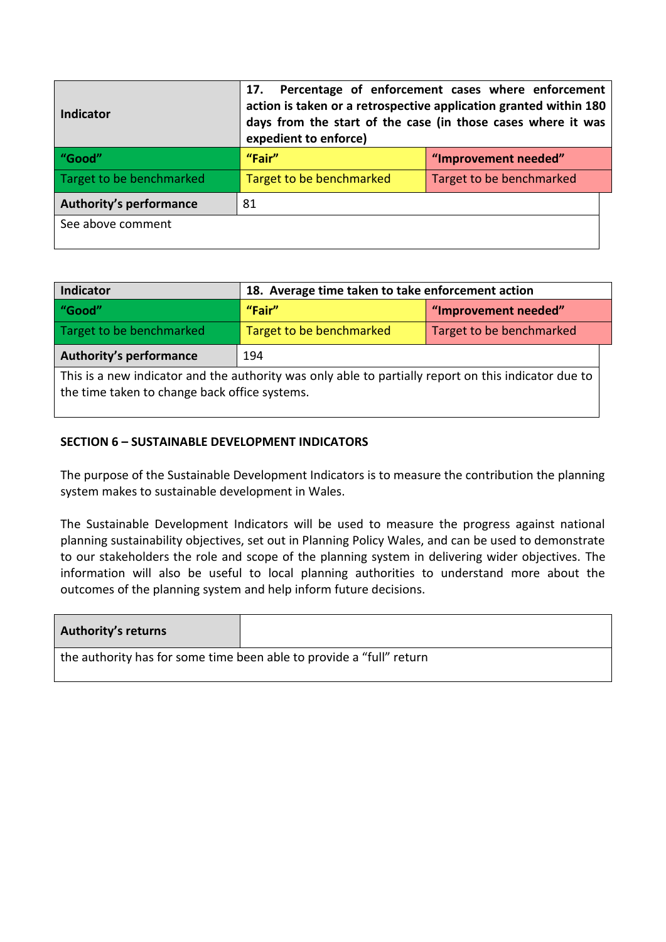| <b>Indicator</b>               | Percentage of enforcement cases where enforcement<br>17.<br>action is taken or a retrospective application granted within 180<br>days from the start of the case (in those cases where it was<br>expedient to enforce) |                          |  |  |  |  |  |  |
|--------------------------------|------------------------------------------------------------------------------------------------------------------------------------------------------------------------------------------------------------------------|--------------------------|--|--|--|--|--|--|
| "Good"                         | "Fair"<br>"Improvement needed"                                                                                                                                                                                         |                          |  |  |  |  |  |  |
| Target to be benchmarked       | Target to be benchmarked                                                                                                                                                                                               | Target to be benchmarked |  |  |  |  |  |  |
| <b>Authority's performance</b> | 81                                                                                                                                                                                                                     |                          |  |  |  |  |  |  |
| See above comment              |                                                                                                                                                                                                                        |                          |  |  |  |  |  |  |

| Indicator                                                                                            | 18. Average time taken to take enforcement action    |  |  |  |  |  |
|------------------------------------------------------------------------------------------------------|------------------------------------------------------|--|--|--|--|--|
| "Good"                                                                                               | "Fair"<br>"Improvement needed"                       |  |  |  |  |  |
| Target to be benchmarked                                                                             | Target to be benchmarked<br>Target to be benchmarked |  |  |  |  |  |
| <b>Authority's performance</b><br>194                                                                |                                                      |  |  |  |  |  |
| This is a new indicator and the authority was only able to partially report on this indicator due to |                                                      |  |  |  |  |  |
| the time taken to change back office systems.                                                        |                                                      |  |  |  |  |  |

## **SECTION 6 – SUSTAINABLE DEVELOPMENT INDICATORS**

The purpose of the Sustainable Development Indicators is to measure the contribution the planning system makes to sustainable development in Wales.

The Sustainable Development Indicators will be used to measure the progress against national planning sustainability objectives, set out in Planning Policy Wales, and can be used to demonstrate to our stakeholders the role and scope of the planning system in delivering wider objectives. The information will also be useful to local planning authorities to understand more about the outcomes of the planning system and help inform future decisions.

| <b>Authority's returns</b> |                                                                      |
|----------------------------|----------------------------------------------------------------------|
|                            | the authority has for some time been able to provide a "full" return |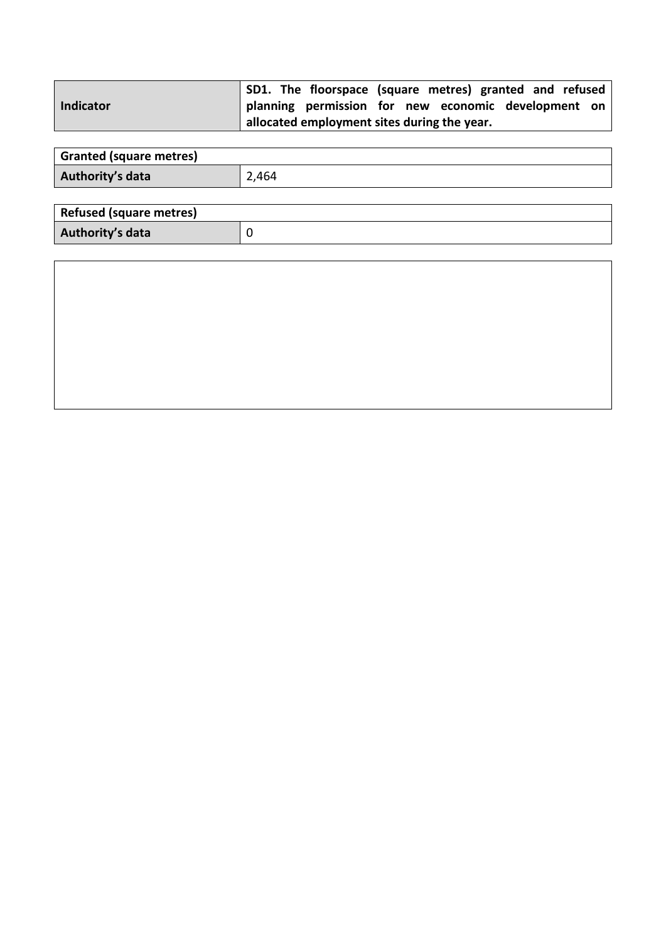|           | SD1. The floorspace (square metres) granted and refused |  |  |  |
|-----------|---------------------------------------------------------|--|--|--|
| Indicator | planning permission for new economic development on     |  |  |  |
|           | allocated employment sites during the year.             |  |  |  |

| <b>Granted (square metres)</b> |       |
|--------------------------------|-------|
| Authority's data               | 2,464 |

| <b>Refused (square metres)</b> |  |
|--------------------------------|--|
| Authority's data               |  |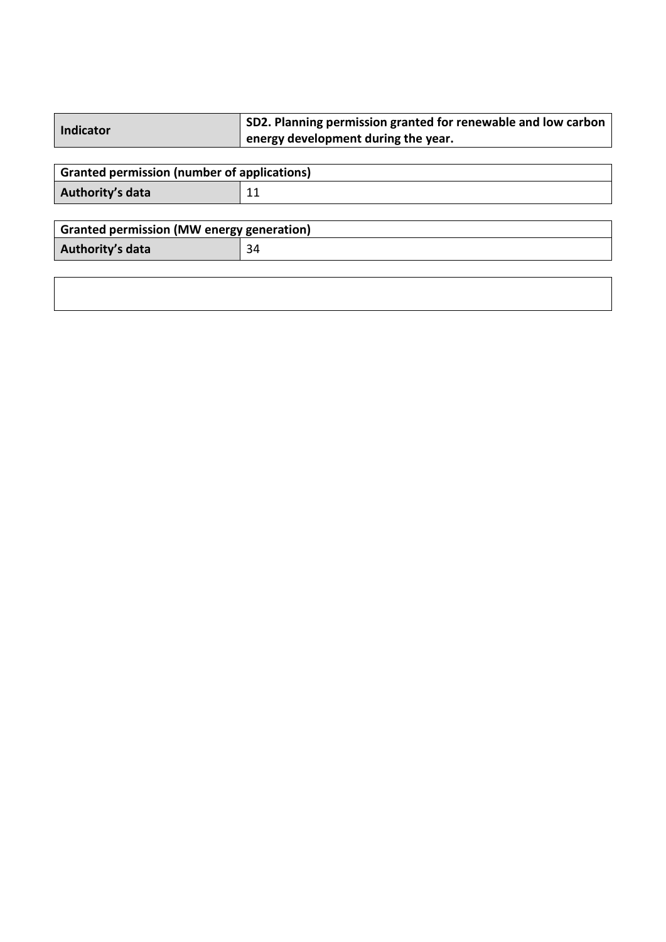| Indicator | SD2. Planning permission granted for renewable and low carbon |
|-----------|---------------------------------------------------------------|
|           | $\mathsf{I}$ energy development during the year.              |
|           |                                                               |

| Granted permission (number of applications) |   |  |
|---------------------------------------------|---|--|
| Authority's data                            | ᆠ |  |

| Granted permission (MW energy generation) |  |  |
|-------------------------------------------|--|--|
| Authority's data                          |  |  |

| ,一个人的人都是一个人的人,但是,我们的人都是一个人的人,我们的人都是一个人的人,我们的人都是一个人的人,我们的人都是一个人的人,我们的人都是一个人的人,我们的<br>第一百一十一章 一个人的人,我们的人都是一个人的人,我们的人都是一个人的人,我们的人都是一个人的人,我们的人都是一个人的人,我们的人都是一个人的人,我们的人都是 |  |  |
|----------------------------------------------------------------------------------------------------------------------------------------------------------------------|--|--|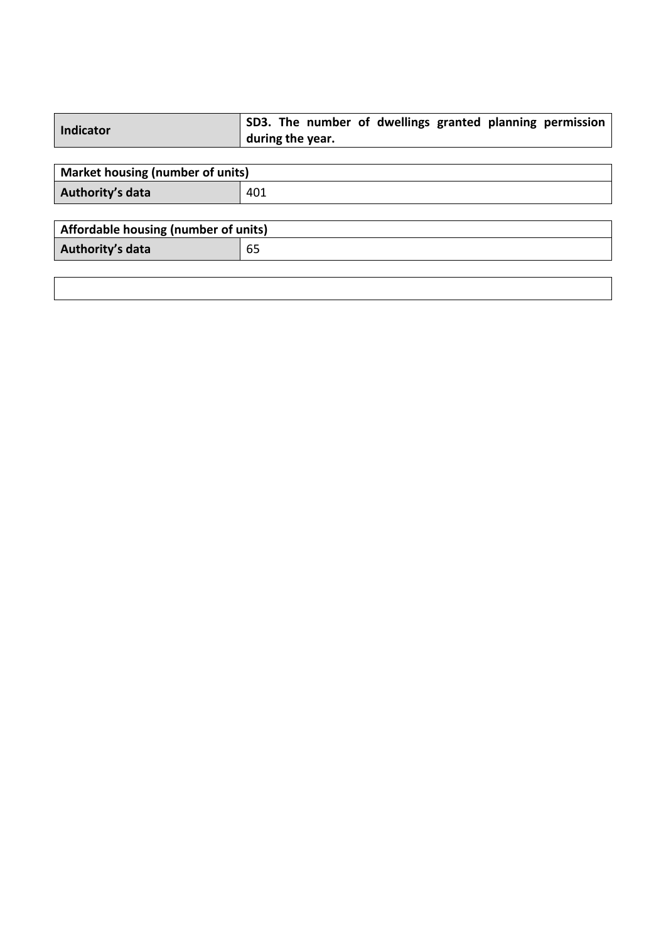| <b>Indicator</b>                     | SD3. The number of dwellings granted planning permission<br>during the year. |  |
|--------------------------------------|------------------------------------------------------------------------------|--|
|                                      |                                                                              |  |
| Market housing (number of units)     |                                                                              |  |
| Authority's data                     | 401                                                                          |  |
|                                      |                                                                              |  |
| Affordable housing (number of units) |                                                                              |  |
| Authority's data                     | 65                                                                           |  |
|                                      |                                                                              |  |
|                                      |                                                                              |  |
|                                      |                                                                              |  |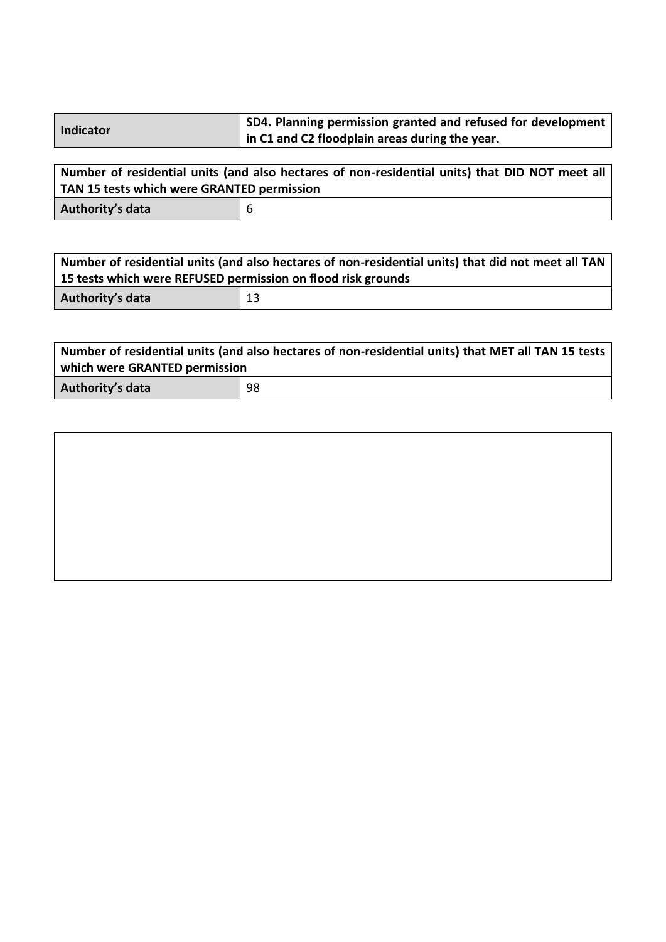| <b>Indicator</b> | SD4. Planning permission granted and refused for development $ $ |
|------------------|------------------------------------------------------------------|
|                  | in C1 and C2 floodplain areas during the year.                   |

| Number of residential units (and also hectares of non-residential units) that DID NOT meet all<br>TAN 15 tests which were GRANTED permission |     |  |
|----------------------------------------------------------------------------------------------------------------------------------------------|-----|--|
| Authority's data                                                                                                                             | - 6 |  |

| Number of residential units (and also hectares of non-residential units) that did not meet all TAN |    |  |
|----------------------------------------------------------------------------------------------------|----|--|
| 15 tests which were REFUSED permission on flood risk grounds                                       |    |  |
| Authority's data                                                                                   | 13 |  |

| Number of residential units (and also hectares of non-residential units) that MET all TAN 15 tests |    |  |
|----------------------------------------------------------------------------------------------------|----|--|
| which were GRANTED permission                                                                      |    |  |
| Authority's data                                                                                   | 98 |  |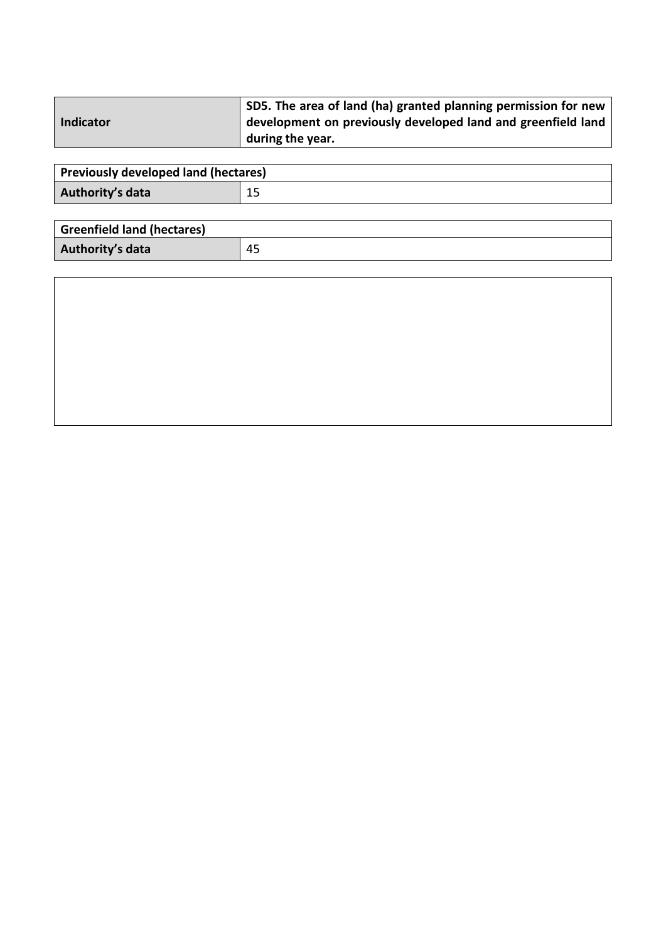|           | SD5. The area of land (ha) granted planning permission for new |
|-----------|----------------------------------------------------------------|
| Indicator | development on previously developed land and greenfield land   |
|           | during the year.                                               |

| Previously developed land (hectares) |  |
|--------------------------------------|--|
| Authority's data                     |  |

| <b>Greenfield land (hectares)</b> |    |
|-----------------------------------|----|
| Authority's data                  | 45 |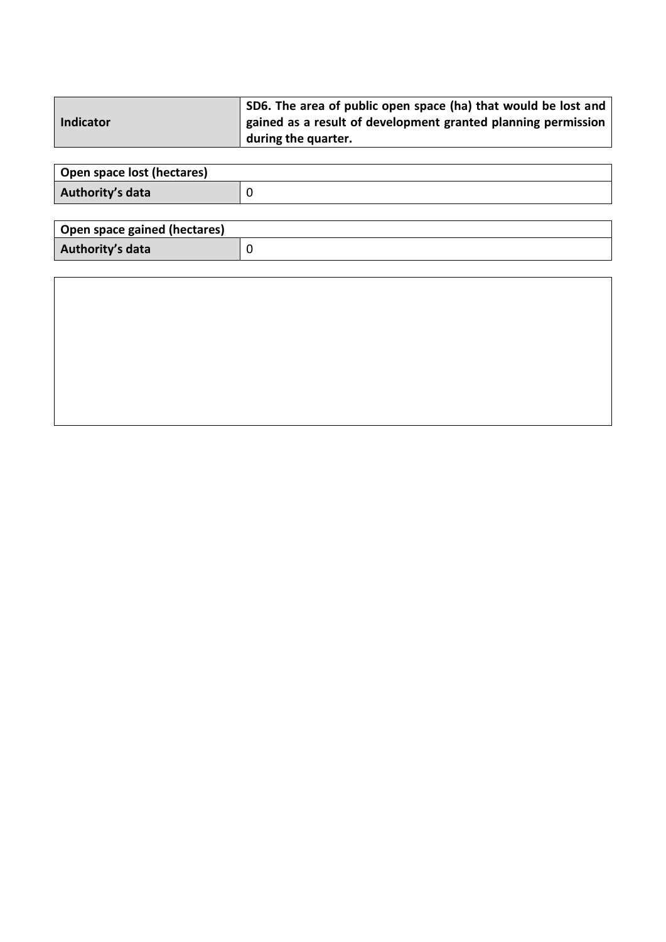|                  | SD6. The area of public open space (ha) that would be lost and |
|------------------|----------------------------------------------------------------|
| <b>Indicator</b> | gained as a result of development granted planning permission  |
|                  | during the quarter.                                            |

| Open space lost (hectares) |  |
|----------------------------|--|
| Authority's data           |  |

| Open space gained (hectares) |  |
|------------------------------|--|
| Authority's data             |  |